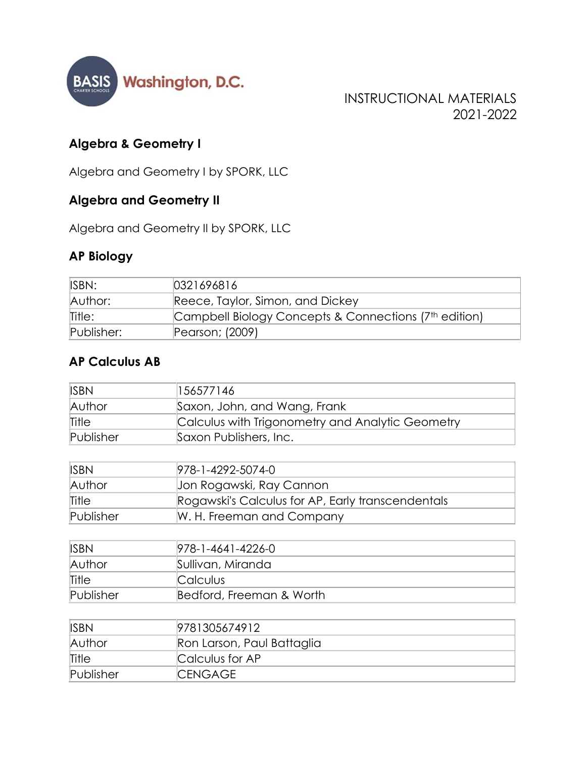

INSTRUCTIONAL MATERIALS 2021-2022

## **Algebra & Geometry I**

Algebra and Geometry I by SPORK, LLC

## **Algebra and Geometry II**

Algebra and Geometry II by SPORK, LLC

## **AP Biology**

| ISBN:      | 0321696816                                                        |
|------------|-------------------------------------------------------------------|
| Author:    | Reece, Taylor, Simon, and Dickey                                  |
| Title:     | Campbell Biology Concepts & Connections (7 <sup>th</sup> edition) |
| Publisher: | Pearson; (2009)                                                   |

#### **AP Calculus AB**

| <b>ISBN</b> | 156577146                                        |
|-------------|--------------------------------------------------|
| Author      | Saxon, John, and Wang, Frank                     |
| Title       | Calculus with Trigonometry and Analytic Geometry |
| Publisher   | Saxon Publishers, Inc.                           |

| <b>ISBN</b> | 978-1-4292-5074-0                                 |
|-------------|---------------------------------------------------|
| Author      | Jon Rogawski, Ray Cannon                          |
| Title       | Rogawski's Calculus for AP, Early transcendentals |
| Publisher   | W. H. Freeman and Company                         |

| <b>ISBN</b> | 978-1-4641-4226-0        |
|-------------|--------------------------|
| Author      | Sullivan, Miranda        |
| Title       | Calculus                 |
| Publisher   | Bedford, Freeman & Worth |

| <b>ISBN</b> | 9781305674912              |
|-------------|----------------------------|
| Author      | Ron Larson, Paul Battaglia |
| Title       | Calculus for AP            |
| Publisher   | <b>ICENGAGE</b>            |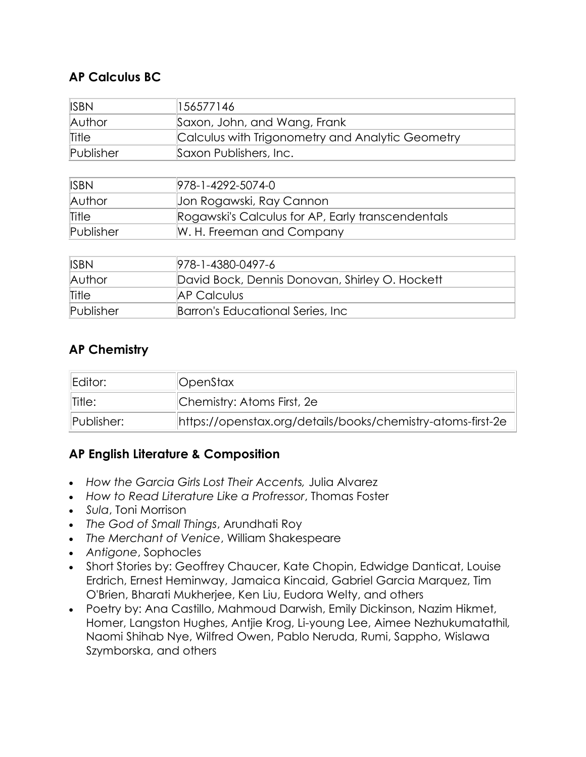## **AP Calculus BC**

| <b>ISBN</b> | 156577146                                         |  |
|-------------|---------------------------------------------------|--|
| Author      | Saxon, John, and Wang, Frank                      |  |
| Title       | Calculus with Trigonometry and Analytic Geometry  |  |
| Publisher   | Saxon Publishers, Inc.                            |  |
|             |                                                   |  |
| <b>ISBN</b> | 978-1-4292-5074-0                                 |  |
| Author      | Jon Rogawski, Ray Cannon                          |  |
| Title       | Rogawski's Calculus for AP, Early transcendentals |  |
| Publisher   | W. H. Freeman and Company                         |  |
|             |                                                   |  |
| <b>ISBN</b> | 978-1-4380-0497-6                                 |  |
| Author      | David Bock, Dennis Donovan, Shirley O. Hockett    |  |
| Title       | <b>AP Calculus</b>                                |  |

## **AP Chemistry**

| Editor:                   | <b>  OpenStax</b>                                           |
|---------------------------|-------------------------------------------------------------|
| Title:                    | Chemistry: Atoms First, 2e                                  |
| $\blacksquare$ Publisher: | https://openstax.org/details/books/chemistry-atoms-first-2e |

#### **AP English Literature & Composition**

*How the Garcia Girls Lost Their Accents,* Julia Alvarez

Publisher **Barron's Educational Series, Inc.** 

- *How to Read Literature Like a Profressor*, Thomas Foster
- *Sula*, Toni Morrison
- *The God of Small Things*, Arundhati Roy
- *The Merchant of Venice*, William Shakespeare
- *Antigone*, Sophocles
- Short Stories by: Geoffrey Chaucer, Kate Chopin, Edwidge Danticat, Louise Erdrich, Ernest Heminway, Jamaica Kincaid, Gabriel Garcia Marquez, Tim O'Brien, Bharati Mukherjee, Ken Liu, Eudora Welty, and others
- Poetry by: Ana Castillo, Mahmoud Darwish, Emily Dickinson, Nazim Hikmet, Homer, Langston Hughes, Antjie Krog, Li-young Lee, Aimee Nezhukumatathil*,*  Naomi Shihab Nye, Wilfred Owen, Pablo Neruda, Rumi, Sappho, Wislawa Szymborska, and others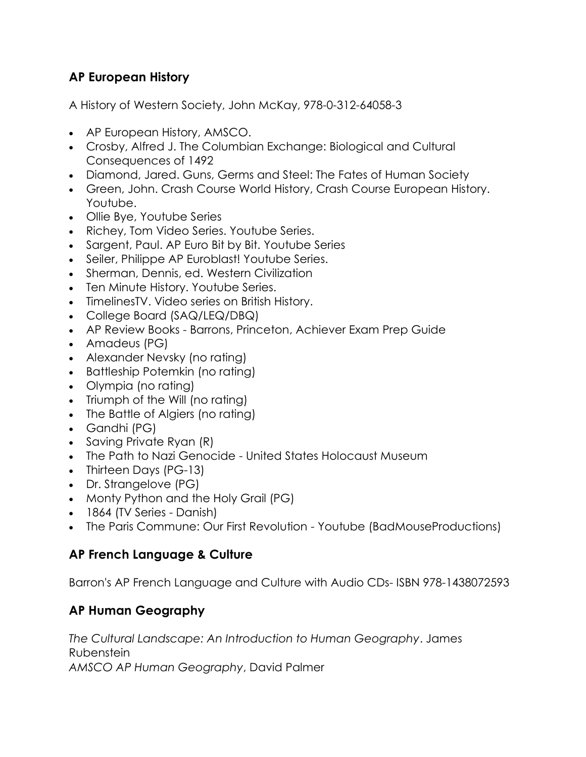## **AP European History**

A History of Western Society, John McKay, 978-0-312-64058-3

- AP European History, AMSCO.
- Crosby, Alfred J. The Columbian Exchange: Biological and Cultural Consequences of 1492
- Diamond, Jared. Guns, Germs and Steel: The Fates of Human Society
- Green, John. Crash Course World History, Crash Course European History. Youtube.
- Ollie Bye, Youtube Series
- Richey, Tom Video Series. Youtube Series.
- Sargent, Paul. AP Euro Bit by Bit. Youtube Series
- Seiler, Philippe AP Euroblast! Youtube Series.
- Sherman, Dennis, ed. Western Civilization
- Ten Minute History. Youtube Series.
- TimelinesTV. Video series on British History.
- College Board (SAQ/LEQ/DBQ)
- AP Review Books Barrons, Princeton, Achiever Exam Prep Guide
- Amadeus (PG)
- Alexander Nevsky (no rating)
- Battleship Potemkin (no rating)
- Olympia (no rating)
- Triumph of the Will (no rating)
- The Battle of Algiers (no rating)
- Gandhi (PG)
- Saving Private Ryan (R)
- The Path to Nazi Genocide United States Holocaust Museum
- Thirteen Days (PG-13)
- Dr. Strangelove (PG)
- Monty Python and the Holy Grail (PG)
- 1864 (TV Series Danish)
- The Paris Commune: Our First Revolution Youtube (BadMouseProductions)

#### **AP French Language & Culture**

Barron's AP French Language and Culture with Audio CDs- ISBN 978-1438072593

## **AP Human Geography**

*The Cultural Landscape: An Introduction to Human Geography*. James Rubenstein *AMSCO AP Human Geography*, David Palmer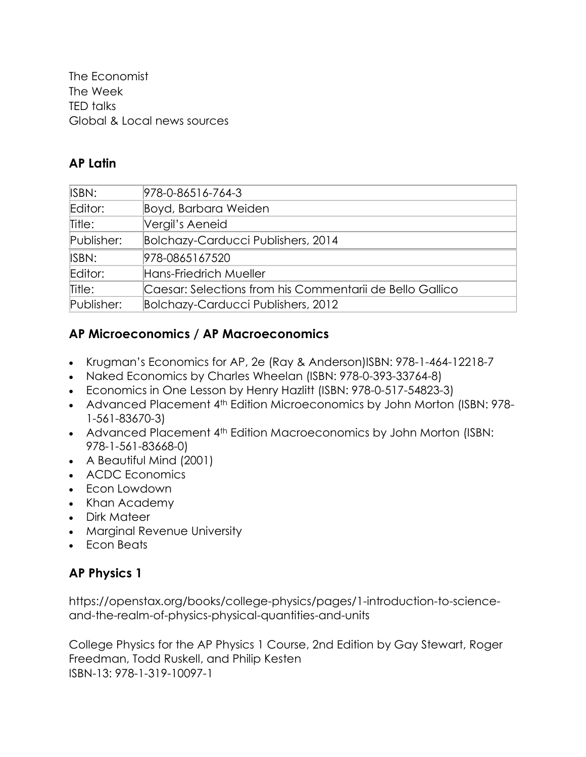The Economist The Week TED talks Global & Local news sources

#### **AP Latin**

| ISBN:      | 978-0-86516-764-3                                        |
|------------|----------------------------------------------------------|
| Editor:    | Boyd, Barbara Weiden                                     |
| Title:     | Vergil's Aeneid                                          |
| Publisher: | Bolchazy-Carducci Publishers, 2014                       |
| ISBN:      | 978-0865167520                                           |
| Editor:    | Hans-Friedrich Mueller                                   |
| Title:     | Caesar: Selections from his Commentarii de Bello Gallico |
| Publisher: | Bolchazy-Carducci Publishers, 2012                       |

### **AP Microeconomics / AP Macroeconomics**

- Krugman's Economics for AP, 2e (Ray & Anderson)ISBN: 978-1-464-12218-7
- Naked Economics by Charles Wheelan (ISBN: 978-0-393-33764-8)
- Economics in One Lesson by Henry Hazlitt (ISBN: 978-0-517-54823-3)
- Advanced Placement 4<sup>th</sup> Edition Microeconomics by John Morton (ISBN: 978-1-561-83670-3)
- Advanced Placement 4<sup>th</sup> Edition Macroeconomics by John Morton (ISBN: 978-1-561-83668-0)
- A Beautiful Mind (2001)
- ACDC Economics
- Econ Lowdown
- Khan Academy
- Dirk Mateer
- Marginal Revenue University
- Fcon Beats

## **AP Physics 1**

[https://openstax.org/books/college-physics/pages/1-introduction-to-science](https://openstax.org/books/college-physics/pages/1-introduction-to-science-and-the-realm-of-physics-physical-quantities-and-units)[and-the-realm-of-physics-physical-quantities-and-units](https://openstax.org/books/college-physics/pages/1-introduction-to-science-and-the-realm-of-physics-physical-quantities-and-units)

College Physics for the AP Physics 1 Course, 2nd Edition by Gay Stewart, Roger Freedman, Todd Ruskell, and Philip Kesten ISBN-13: 978-1-319-10097-1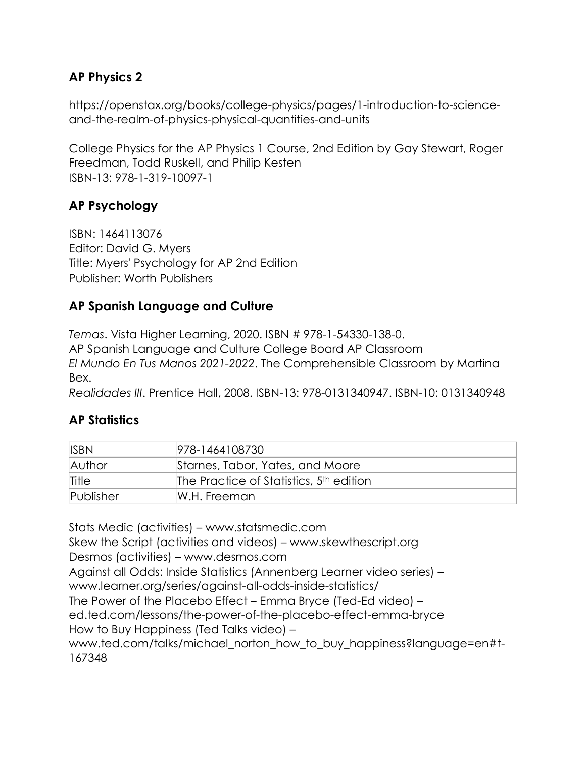## **AP Physics 2**

[https://openstax.org/books/college-physics/pages/1-introduction-to-science](https://openstax.org/books/college-physics/pages/1-introduction-to-science-and-the-realm-of-physics-physical-quantities-and-units)[and-the-realm-of-physics-physical-quantities-and-units](https://openstax.org/books/college-physics/pages/1-introduction-to-science-and-the-realm-of-physics-physical-quantities-and-units)

College Physics for the AP Physics 1 Course, 2nd Edition by Gay Stewart, Roger Freedman, Todd Ruskell, and Philip Kesten ISBN-13: 978-1-319-10097-1

## **AP Psychology**

ISBN: 1464113076 Editor: David G. Myers Title: Myers' Psychology for AP 2nd Edition Publisher: Worth Publishers

## **AP Spanish Language and Culture**

*Temas*. Vista Higher Learning, 2020. ISBN # 978-1-54330-138-0.

AP Spanish Language and Culture College Board AP Classroom

*El Mundo En Tus Manos 2021-2022*. The Comprehensible Classroom by Martina Bex.

*Realidades III*. Prentice Hall, 2008. ISBN-13: 978-0131340947. ISBN-10: 0131340948

## **AP Statistics**

| <b>ISBN</b> | 978-1464108730                                      |
|-------------|-----------------------------------------------------|
| Author      | Starnes, Tabor, Yates, and Moore                    |
| Title       | The Practice of Statistics, 5 <sup>th</sup> edition |
| Publisher   | W.H. Freeman                                        |

Stats Medic (activities) – [www.statsmedic.com](http://www.statsmedic.com/) Skew the Script (activities and videos) – [www.skewthescript.org](http://www.skewthescript.org/) Desmos (activities) – [www.desmos.com](http://www.desmos.com/) Against all Odds: Inside Statistics (Annenberg Learner video series) – <www.learner.org/series/against-all-odds-inside-statistics/> The Power of the Placebo Effect – Emma Bryce (Ted-Ed video) – [ed.ted.com/lessons/the-power-of-the-placebo-effect-emma-bryce](https://ed.ted.com/lessons/the-power-of-the-placebo-effect-emma-bryce) How to Buy Happiness (Ted Talks video) – [www.ted.com/talks/michael\\_norton\\_how\\_to\\_buy\\_happiness?language=en#t-](http://www.ted.com/talks/michael_norton_how_to_buy_happiness?language=en#t-167348)[167348](http://www.ted.com/talks/michael_norton_how_to_buy_happiness?language=en#t-167348)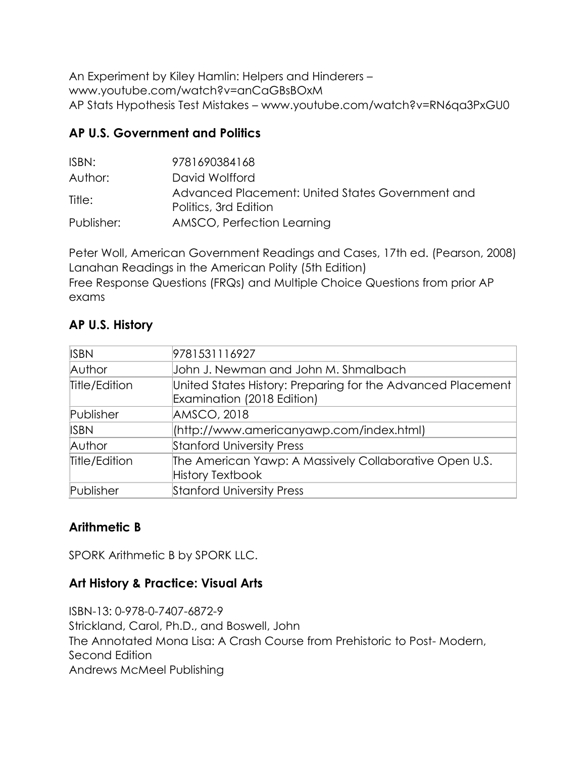An Experiment by Kiley Hamlin: Helpers and Hinderers – [www.youtube.com/watch?v=anCaGBsBOxM](http://www.youtube.com/watch?v=anCaGBsBOxM) AP Stats Hypothesis Test Mistakes – [www.youtube.com/watch?v=RN6qa3PxGU0](http://www.youtube.com/watch?v=RN6qa3PxGU0) 

## **AP U.S. Government and Politics**

| ISBN:      | 9781690384168                                                             |
|------------|---------------------------------------------------------------------------|
| Author:    | David Wolfford                                                            |
| Title:     | Advanced Placement: United States Government and<br>Politics, 3rd Edition |
| Publisher: | AMSCO, Perfection Learning                                                |

Peter Woll, American Government Readings and Cases, 17th ed. (Pearson, 2008) Lanahan Readings in the American Polity (5th Edition) Free Response Questions (FRQs) and Multiple Choice Questions from prior AP exams

## **AP U.S. History**

| <b>ISBN</b>   | 9781531116927                                                                             |  |
|---------------|-------------------------------------------------------------------------------------------|--|
| Author        | John J. Newman and John M. Shmalbach                                                      |  |
| Title/Edition | United States History: Preparing for the Advanced Placement<br>Examination (2018 Edition) |  |
| Publisher     | AMSCO, 2018                                                                               |  |
| <b>ISBN</b>   | (http://www.americanyawp.com/index.html)                                                  |  |
| Author        | <b>Stanford University Press</b>                                                          |  |
| Title/Edition | The American Yawp: A Massively Collaborative Open U.S.<br><b>History Textbook</b>         |  |
| Publisher     | <b>Stanford University Press</b>                                                          |  |

## **Arithmetic B**

SPORK Arithmetic B by SPORK LLC.

## **Art History & Practice: Visual Arts**

ISBN-13: 0-978-0-7407-6872-9 Strickland, Carol, Ph.D., and Boswell, John The Annotated Mona Lisa: A Crash Course from Prehistoric to Post- Modern, Second Edition Andrews McMeel Publishing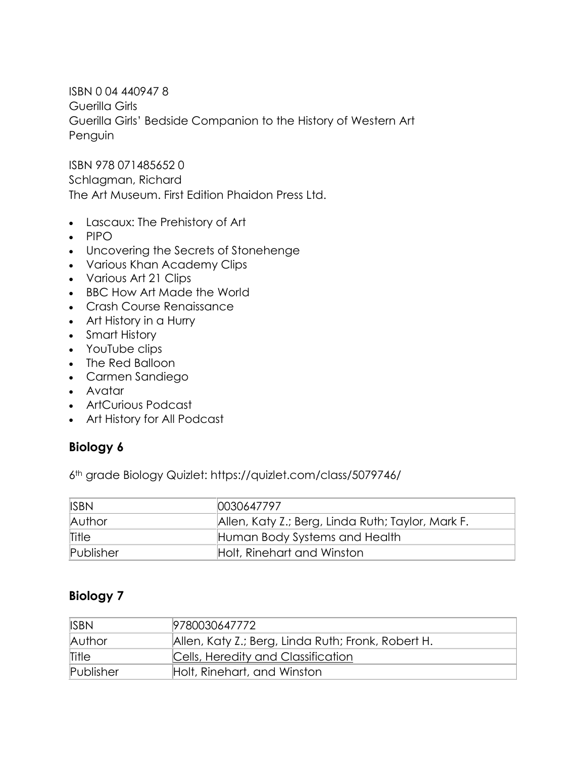ISBN 0 04 440947 8 Guerilla Girls Guerilla Girls' Bedside Companion to the History of Western Art Penguin

ISBN 978 071485652 0 Schlagman, Richard The Art Museum. First Edition Phaidon Press Ltd.

- Lascaux: The Prehistory of Art
- $\bullet$  PIPO
- Uncovering the Secrets of Stonehenge
- Various Khan Academy Clips
- Various Art 21 Clips
- BBC How Art Made the World
- Crash Course Renaissance
- Art History in a Hurry
- Smart History
- YouTube clips
- The Red Balloon
- Carmen Sandiego
- Avatar
- ArtCurious Podcast
- Art History for All Podcast

#### **Biology 6**

6th grade Biology Quizlet:<https://quizlet.com/class/5079746/>

| <b>ISBN</b> | 0030647797                                        |
|-------------|---------------------------------------------------|
| Author      | Allen, Katy Z.; Berg, Linda Ruth; Taylor, Mark F. |
| Title       | Human Body Systems and Health                     |
| Publisher   | Holt, Rinehart and Winston                        |

#### **Biology 7**

| <b>ISBN</b> | 9780030647772                                      |
|-------------|----------------------------------------------------|
| Author      | Allen, Katy Z.; Berg, Linda Ruth; Fronk, Robert H. |
| Title       | Cells, Heredity and Classification                 |
| Publisher   | Holt, Rinehart, and Winston                        |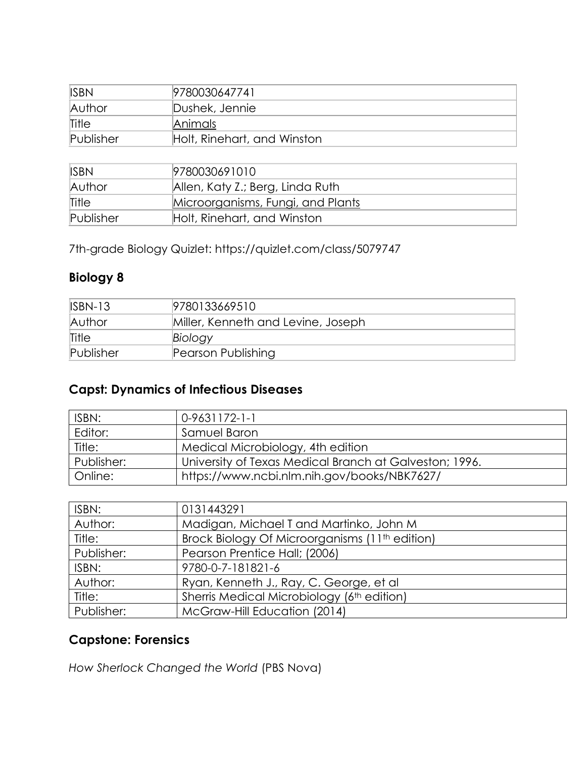| <b>ISBN</b> | 9780030647741               |
|-------------|-----------------------------|
| Author      | Dushek, Jennie              |
| Title       | Animals                     |
| Publisher   | Holt, Rinehart, and Winston |

| <b>ISBN</b> | 9780030691010                     |
|-------------|-----------------------------------|
| Author      | Allen, Katy Z.; Berg, Linda Ruth  |
| Title       | Microorganisms, Fungi, and Plants |
| Publisher   | Holt, Rinehart, and Winston       |

7th-grade Biology Quizlet:<https://quizlet.com/class/5079747>

## **Biology 8**

| $ISBN-13$ | 9780133669510                      |
|-----------|------------------------------------|
| Author    | Miller, Kenneth and Levine, Joseph |
| Title     | Biology                            |
| Publisher | Pearson Publishing                 |

## **Capst: Dynamics of Infectious Diseases**

| ISBN:      | $0-9631172-1-1$                                        |
|------------|--------------------------------------------------------|
| Editor:    | Samuel Baron                                           |
| Title:     | Medical Microbiology, 4th edition                      |
| Publisher: | University of Texas Medical Branch at Galveston; 1996. |
| Online:    | https://www.ncbi.nlm.nih.gov/books/NBK7627/            |

| ISBN:      | 0131443291                                                 |
|------------|------------------------------------------------------------|
| Author:    | Madigan, Michael T and Martinko, John M                    |
| Title:     | Brock Biology Of Microorganisms (11 <sup>th</sup> edition) |
| Publisher: | Pearson Prentice Hall; (2006)                              |
| ISBN:      | 9780-0-7-181821-6                                          |
| Author:    | Ryan, Kenneth J., Ray, C. George, et al                    |
| Title:     | Sherris Medical Microbiology (6th edition)                 |
| Publisher: | McGraw-Hill Education (2014)                               |

## **Capstone: Forensics**

*How Sherlock Changed the World* (PBS Nova)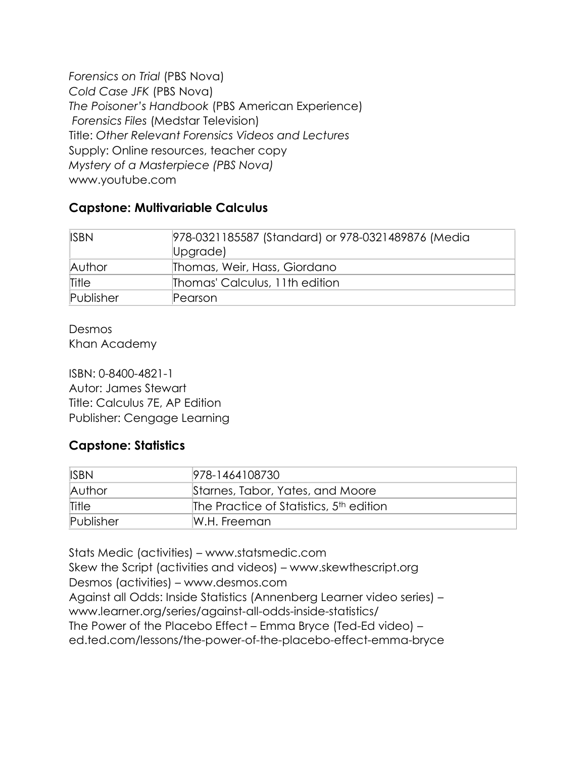*Forensics on Trial* (PBS Nova) *Cold Case JFK* (PBS Nova) *The Poisoner's Handbook* (PBS American Experience) *Forensics Files* (Medstar Television) Title: *Other Relevant Forensics Videos and Lectures* Supply: Online resources, teacher copy *Mystery of a Masterpiece (PBS Nova)* [www.youtube.com](http://www.youtube.com/)

#### **Capstone: Multivariable Calculus**

| <b>ISBN</b> | 978-0321185587 (Standard) or 978-0321489876 (Media<br>Upgrade) |
|-------------|----------------------------------------------------------------|
| Author      | Thomas, Weir, Hass, Giordano                                   |
| Title       | Thomas' Calculus, 11th edition                                 |
| Publisher   | Pearson                                                        |

Desmos Khan Academy

ISBN: 0-8400-4821-1 Autor: James Stewart Title: Calculus 7E, AP Edition Publisher: Cengage Learning

#### **Capstone: Statistics**

| <b>ISBN</b> | 978-1464108730                                      |
|-------------|-----------------------------------------------------|
| Author      | Starnes, Tabor, Yates, and Moore                    |
| Title       | The Practice of Statistics, 5 <sup>th</sup> edition |
| Publisher   | IW.H. Freeman                                       |

Stats Medic (activities) – [www.statsmedic.com](http://www.statsmedic.com/) Skew the Script (activities and videos) – [www.skewthescript.org](http://www.skewthescript.org/) Desmos (activities) – [www.desmos.com](http://www.desmos.com/) Against all Odds: Inside Statistics (Annenberg Learner video series) – <www.learner.org/series/against-all-odds-inside-statistics/> The Power of the Placebo Effect – Emma Bryce (Ted-Ed video) – [ed.ted.com/lessons/the-power-of-the-placebo-effect-emma-bryce](https://ed.ted.com/lessons/the-power-of-the-placebo-effect-emma-bryce)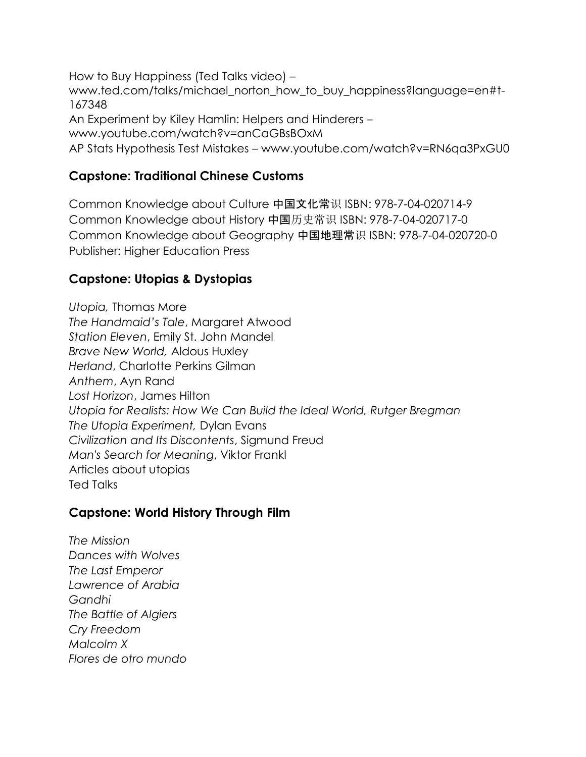How to Buy Happiness (Ted Talks video) – [www.ted.com/talks/michael\\_norton\\_how\\_to\\_buy\\_happiness?language=en#t-](http://www.ted.com/talks/michael_norton_how_to_buy_happiness?language=en#t-167348)[167348](http://www.ted.com/talks/michael_norton_how_to_buy_happiness?language=en#t-167348) An Experiment by Kiley Hamlin: Helpers and Hinderers – [www.youtube.com/watch?v=anCaGBsBOxM](http://www.youtube.com/watch?v=anCaGBsBOxM) AP Stats Hypothesis Test Mistakes – [www.youtube.com/watch?v=RN6qa3PxGU0](http://www.youtube.com/watch?v=RN6qa3PxGU0) 

#### **Capstone: Traditional Chinese Customs**

Common Knowledge about Culture 中国文化常识 ISBN: 978-7-04-020714-9 Common Knowledge about History 中国历史常识 ISBN: 978-7-04-020717-0 Common Knowledge about Geography 中国地理常识 ISBN: 978-7-04-020720-0 Publisher: Higher Education Press

### **Capstone: Utopias & Dystopias**

*Utopia,* Thomas More *The Handmaid's Tale*, Margaret Atwood *Station Eleven*, Emily St. John Mandel *Brave New World,* Aldous Huxley *Herland*, Charlotte Perkins Gilman *Anthem*, Ayn Rand *Lost Horizon*, James Hilton *Utopia for Realists: How We Can Build the Ideal World, Rutger Bregman The Utopia Experiment,* Dylan Evans *Civilization and Its Discontents*, Sigmund Freud *Man's Search for Meaning*, Viktor Frankl Articles about utopias Ted Talks

#### **Capstone: World History Through Film**

*The Mission Dances with Wolves The Last Emperor Lawrence of Arabia Gandhi The Battle of Algiers Cry Freedom Malcolm X Flores de otro mundo*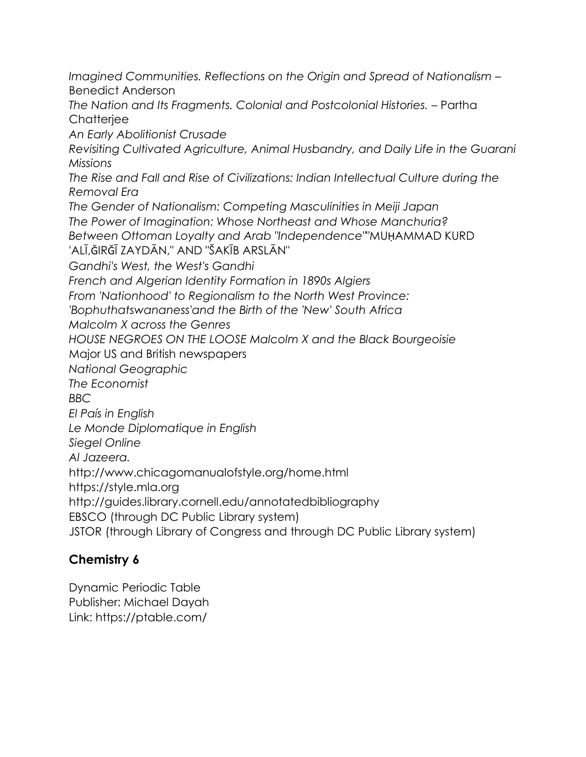*Imagined Communities. Reflections on the Origin and Spread of Nationalism –* Benedict Anderson

*The Nation and Its Fragments. Colonial and Postcolonial Histories.* – Partha **Chatteriee** 

*An Early Abolitionist Crusade*

*Revisiting Cultivated Agriculture, Animal Husbandry, and Daily Life in the Guarani Missions* 

*The Rise and Fall and Rise of Civilizations: Indian Intellectual Culture during the Removal Era* 

*The Gender of Nationalism: Competing Masculinities in Meiji Japan* 

*The Power of Imagination: Whose Northeast and Whose Manchuria?* 

*Between Ottoman Loyalty and Arab "Independence"*"MUḤAMMAD KURD

'ALĪ,ǦIRǦĪ ZAYDĀN," AND "ŠAKĪB ARSLĀN"

*Gandhi's West, the West's Gandhi* 

*French and Algerian Identity Formation in 1890s Algiers* 

*From 'Nationhood' to Regionalism to the North West Province:* 

*'Bophuthatswananess'and the Birth of the 'New' South Africa*

*Malcolm X across the Genres*

*HOUSE NEGROES ON THE LOOSE Malcolm X and the Black Bourgeoisie*

Major US and British newspapers

*National Geographic*

*The Economist*

*BBC*

*El País in English*

*Le Monde Diplomatique in English*

*Siegel Online*

*Al Jazeera.*

<http://www.chicagomanualofstyle.org/home.html>

[https://style.mla.org](https://style.mla.org/)

<http://guides.library.cornell.edu/annotatedbibliography>

EBSCO (through DC Public Library system)

JSTOR (through Library of Congress and through DC Public Library system)

## **Chemistry 6**

Dynamic Periodic Table Publisher: Michael Dayah Link:<https://ptable.com/>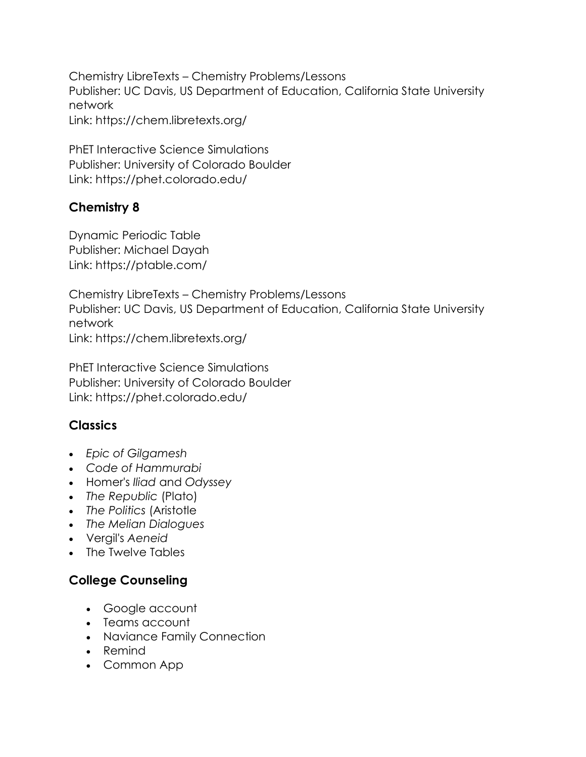Chemistry LibreTexts – Chemistry Problems/Lessons Publisher: UC Davis, US Department of Education, California State University network Link: https://chem.libretexts.org/

PhET Interactive Science Simulations Publisher: University of Colorado Boulder Link: https://phet.colorado.edu/

## **Chemistry 8**

Dynamic Periodic Table Publisher: Michael Dayah Link: https://ptable.com/

Chemistry LibreTexts – Chemistry Problems/Lessons Publisher: UC Davis, US Department of Education, California State University network Link: https://chem.libretexts.org/

PhET Interactive Science Simulations Publisher: University of Colorado Boulder Link: https://phet.colorado.edu/

## **Classics**

- *Epic of Gilgamesh*
- *Code of Hammurabi*
- Homer's *Iliad* and *Odyssey*
- *The Republic* (Plato)
- *The Politics* (Aristotle
- *The Melian Dialogues*
- Vergil's *Aeneid*
- The Twelve Tables

## **College Counseling**

- Google account
- Teams account
- Naviance Family Connection
- Remind
- Common App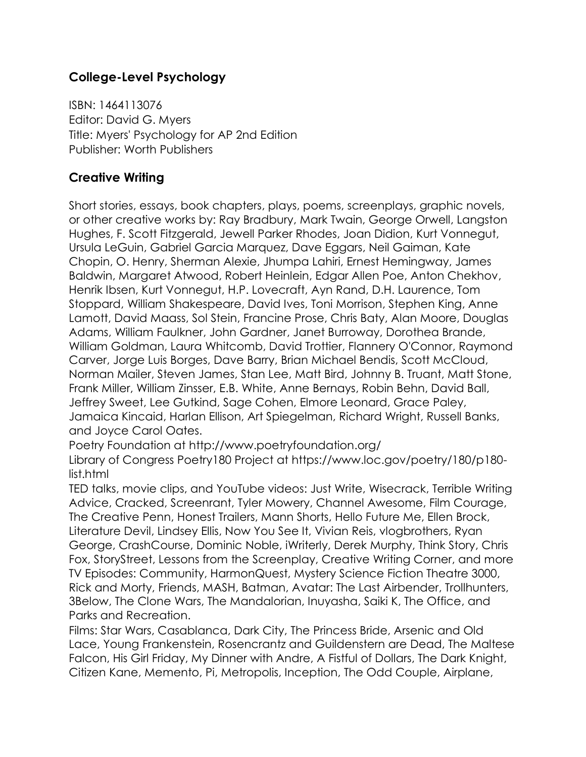## **College-Level Psychology**

ISBN: 1464113076 Editor: David G. Myers Title: Myers' Psychology for AP 2nd Edition Publisher: Worth Publishers

### **Creative Writing**

Short stories, essays, book chapters, plays, poems, screenplays, graphic novels, or other creative works by: Ray Bradbury, Mark Twain, George Orwell, Langston Hughes, F. Scott Fitzgerald, Jewell Parker Rhodes, Joan Didion, Kurt Vonnegut, Ursula LeGuin, Gabriel Garcia Marquez, Dave Eggars, Neil Gaiman, Kate Chopin, O. Henry, Sherman Alexie, Jhumpa Lahiri, Ernest Hemingway, James Baldwin, Margaret Atwood, Robert Heinlein, Edgar Allen Poe, Anton Chekhov, Henrik Ibsen, Kurt Vonnegut, H.P. Lovecraft, Ayn Rand, D.H. Laurence, Tom Stoppard, William Shakespeare, David Ives, Toni Morrison, Stephen King, Anne Lamott, David Maass, Sol Stein, Francine Prose, Chris Baty, Alan Moore, Douglas Adams, William Faulkner, John Gardner, Janet Burroway, Dorothea Brande, William Goldman, Laura Whitcomb, David Trottier, Flannery O'Connor, Raymond Carver, Jorge Luis Borges, Dave Barry, Brian Michael Bendis, Scott McCloud, Norman Mailer, Steven James, Stan Lee, Matt Bird, Johnny B. Truant, Matt Stone, Frank Miller, William Zinsser, E.B. White, Anne Bernays, Robin Behn, David Ball, Jeffrey Sweet, Lee Gutkind, Sage Cohen, Elmore Leonard, Grace Paley, Jamaica Kincaid, Harlan Ellison, Art Spiegelman, Richard Wright, Russell Banks, and Joyce Carol Oates.

Poetry Foundation at<http://www.poetryfoundation.org/>

Library of Congress Poetry180 Project at https://www.loc.gov/poetry/180/p180 list.html

TED talks, movie clips, and YouTube videos: Just Write, Wisecrack, Terrible Writing Advice, Cracked, Screenrant, Tyler Mowery, Channel Awesome, Film Courage, The Creative Penn, Honest Trailers, Mann Shorts, Hello Future Me, Ellen Brock, Literature Devil, Lindsey Ellis, Now You See It, Vivian Reis, vlogbrothers, Ryan George, CrashCourse, Dominic Noble, iWriterly, Derek Murphy, Think Story, Chris Fox, StoryStreet, Lessons from the Screenplay, Creative Writing Corner, and more TV Episodes: Community, HarmonQuest, Mystery Science Fiction Theatre 3000, Rick and Morty, Friends, MASH, Batman, Avatar: The Last Airbender, Trollhunters, 3Below, The Clone Wars, The Mandalorian, Inuyasha, Saiki K, The Office, and Parks and Recreation.

Films: Star Wars, Casablanca, Dark City, The Princess Bride, Arsenic and Old Lace, Young Frankenstein, Rosencrantz and Guildenstern are Dead, The Maltese Falcon, His Girl Friday, My Dinner with Andre, A Fistful of Dollars, The Dark Knight, Citizen Kane, Memento, Pi, Metropolis, Inception, The Odd Couple, Airplane,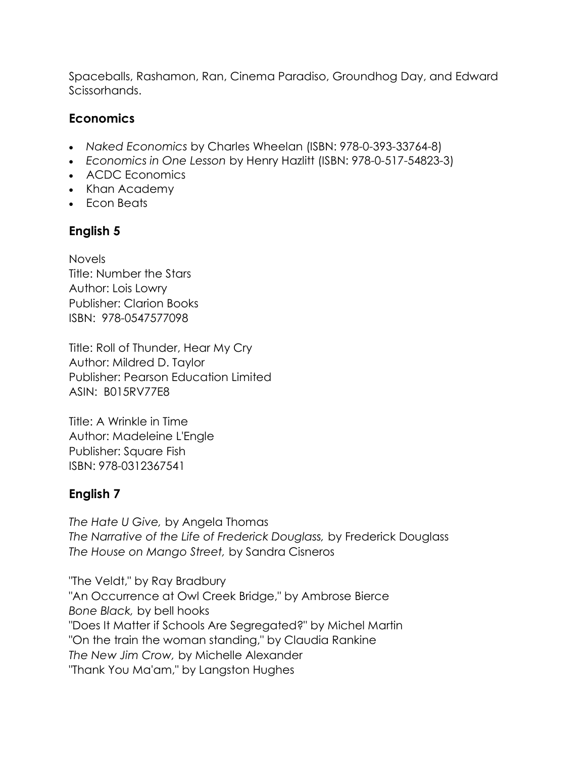Spaceballs, Rashamon, Ran, Cinema Paradiso, Groundhog Day, and Edward Scissorhands.

## **Economics**

- *Naked Economics* by Charles Wheelan (ISBN: 978-0-393-33764-8)
- *Economics in One Lesson* by Henry Hazlitt (ISBN: 978-0-517-54823-3)
- ACDC Economics
- Khan Academy
- Econ Beats

## **English 5**

Novels Title: Number the Stars Author: Lois Lowry Publisher: Clarion Books ISBN: 978-0547577098

Title: Roll of Thunder, Hear My Cry Author: Mildred D. Taylor Publisher: Pearson Education Limited ASIN: B015RV77E8

Title: A Wrinkle in Time Author: Madeleine L'Engle Publisher: Square Fish ISBN: 978-0312367541

## **English 7**

*The Hate U Give,* by Angela Thomas *The Narrative of the Life of Frederick Douglass,* by Frederick Douglass *The House on Mango Street,* by Sandra Cisneros

"The Veldt," by Ray Bradbury "An Occurrence at Owl Creek Bridge," by Ambrose Bierce *Bone Black,* by bell hooks "Does It Matter if Schools Are Segregated?" by Michel Martin "On the train the woman standing," by Claudia Rankine *The New Jim Crow,* by Michelle Alexander "Thank You Ma'am," by Langston Hughes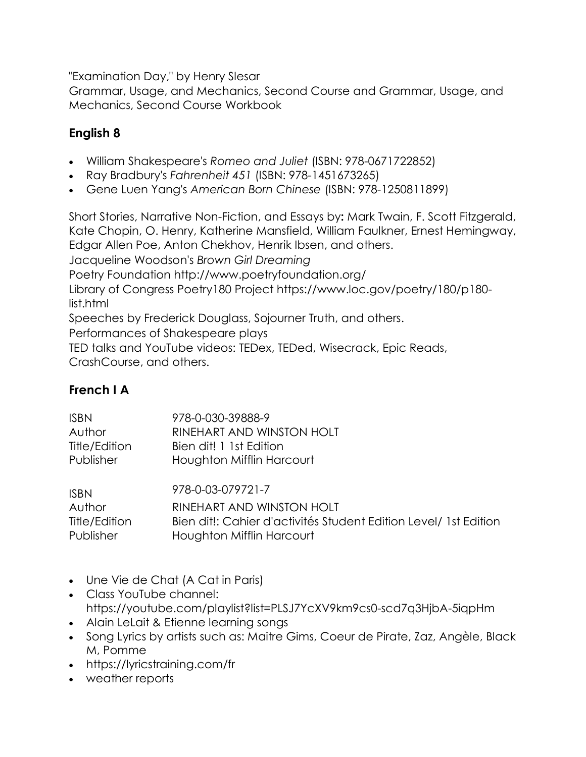"Examination Day," by Henry Slesar

Grammar, Usage, and Mechanics, Second Course and Grammar, Usage, and Mechanics, Second Course Workbook

## **English 8**

- William Shakespeare's *Romeo and Juliet* (ISBN: 978-0671722852)
- Ray Bradbury's *Fahrenheit 451* (ISBN: 978-1451673265)
- Gene Luen Yang's *American Born Chinese* (ISBN: 978-1250811899)

Short Stories, Narrative Non-Fiction, and Essays by**:** Mark Twain, F. Scott Fitzgerald, Kate Chopin, O. Henry, Katherine Mansfield, William Faulkner, Ernest Hemingway, Edgar Allen Poe, Anton Chekhov, Henrik Ibsen, and others. Jacqueline Woodson's *Brown Girl Dreaming* Poetry Foundation <http://www.poetryfoundation.org/> Library of Congress Poetry180 Project [https://www.loc.gov/poetry/180/p180](https://www.loc.gov/poetry/180/p180-list.html) [list.html](https://www.loc.gov/poetry/180/p180-list.html) Speeches by Frederick Douglass, Sojourner Truth, and others. Performances of Shakespeare plays TED talks and YouTube videos: TEDex, TEDed, Wisecrack, Epic Reads, CrashCourse, and others.

## **French I A**

| <b>ISBN</b>   | 978-0-030-39888-9                                                |
|---------------|------------------------------------------------------------------|
| Author        | RINEHART AND WINSTON HOLT                                        |
| Title/Edition | Bien dit! 1 1st Edition                                          |
| Publisher     | Houghton Mifflin Harcourt                                        |
| <b>ISBN</b>   | 978-0-03-079721-7                                                |
| Author        | RINEHART AND WINSTON HOLT                                        |
| Title/Edition | Bien dit!: Cahier d'activités Student Edition Level/ 1st Edition |
| Publisher     | Houghton Mifflin Harcourt                                        |

- Une Vie de Chat (A Cat in Paris)
- Class YouTube channel: https://youtube.com/playlist?list=PLSJ7YcXV9km9cs0-scd7q3HjbA-5iqpHm
- Alain LeLait & Etienne learning songs
- Song Lyrics by artists such as: Maitre Gims, Coeur de Pirate, Zaz, Angèle, Black M, Pomme
- <https://lyricstraining.com/fr>
- weather reports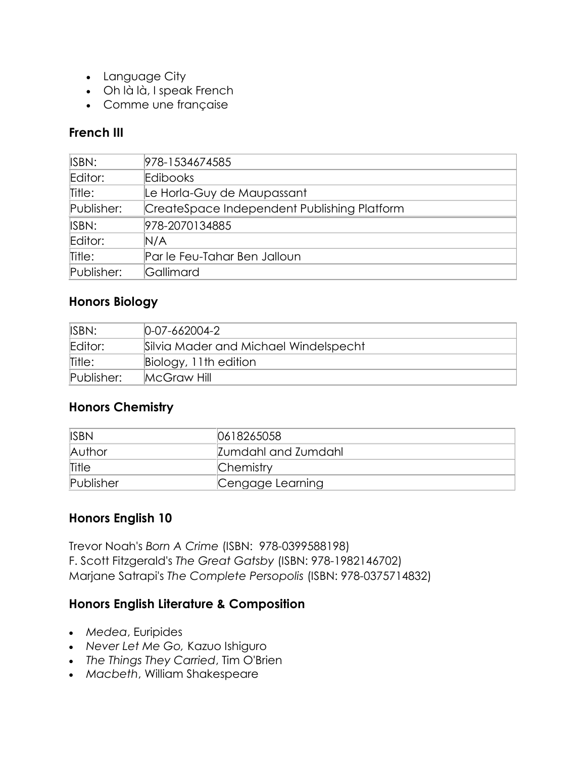- Language City
- Oh là là, I speak French
- Comme une française

## **French III**

| 978-1534674585                              |
|---------------------------------------------|
| Edibooks                                    |
| Le Horla-Guy de Maupassant                  |
| CreateSpace Independent Publishing Platform |
| 978-2070134885                              |
| N/A                                         |
| Par le Feu-Tahar Ben Jalloun                |
| Gallimard                                   |
|                                             |

### **Honors Biology**

| ISBN:      | $[0-07-662004-2]$                     |
|------------|---------------------------------------|
| Editor:    | Silvia Mader and Michael Windelspecht |
| Title:     | Biology, 11th edition                 |
| Publisher: | McGraw Hill                           |

## **Honors Chemistry**

| <b>ISBN</b> | 0618265058          |
|-------------|---------------------|
| Author      | Zumdahl and Zumdahl |
| Title       | Chemistry           |
| Publisher   | Cengage Learning    |

#### **Honors English 10**

Trevor Noah's *Born A Crime* (ISBN: 978-0399588198) F. Scott Fitzgerald's *The Great Gatsby* (ISBN: 978-1982146702) Marjane Satrapi's *The Complete Persopolis* (ISBN: 978-0375714832)

#### **Honors English Literature & Composition**

- *Medea*, Euripides
- *Never Let Me Go,* Kazuo Ishiguro
- *The Things They Carried*, Tim O'Brien
- *Macbeth*, William Shakespeare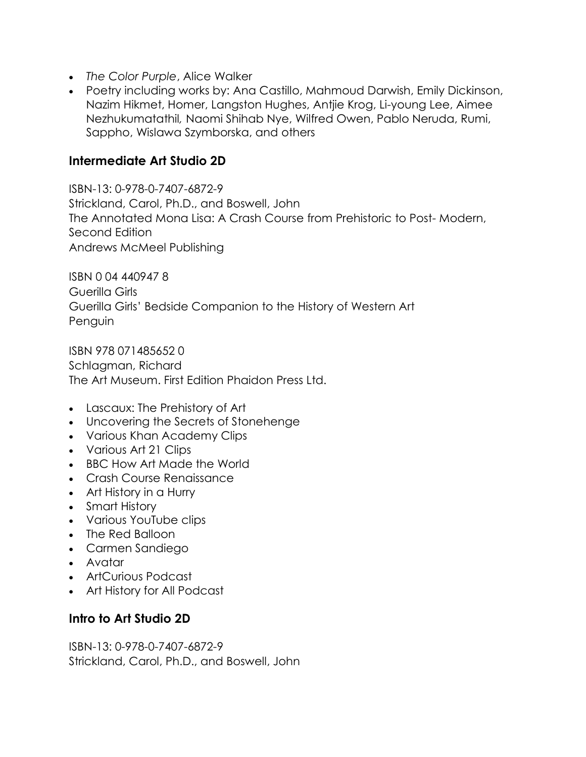- *The Color Purple*, Alice Walker
- Poetry including works by: Ana Castillo, Mahmoud Darwish, Emily Dickinson, Nazim Hikmet, Homer, Langston Hughes, Antjie Krog, Li-young Lee, Aimee Nezhukumatathil*,* Naomi Shihab Nye, Wilfred Owen, Pablo Neruda, Rumi, Sappho, Wislawa Szymborska, and others

#### **Intermediate Art Studio 2D**

ISBN-13: 0-978-0-7407-6872-9 Strickland, Carol, Ph.D., and Boswell, John The Annotated Mona Lisa: A Crash Course from Prehistoric to Post- Modern, Second Edition Andrews McMeel Publishing

ISBN 0 04 440947 8 Guerilla Girls Guerilla Girls' Bedside Companion to the History of Western Art Penguin

ISBN 978 071485652 0 Schlagman, Richard The Art Museum. First Edition Phaidon Press Ltd.

- Lascaux: The Prehistory of Art
- Uncovering the Secrets of Stonehenge
- Various Khan Academy Clips
- Various Art 21 Clips
- BBC How Art Made the World
- Crash Course Renaissance
- Art History in a Hurry
- Smart History
- Various YouTube clips
- The Red Balloon
- Carmen Sandiego
- Avatar
- ArtCurious Podcast
- Art History for All Podcast

#### **Intro to Art Studio 2D**

ISBN-13: 0-978-0-7407-6872-9 Strickland, Carol, Ph.D., and Boswell, John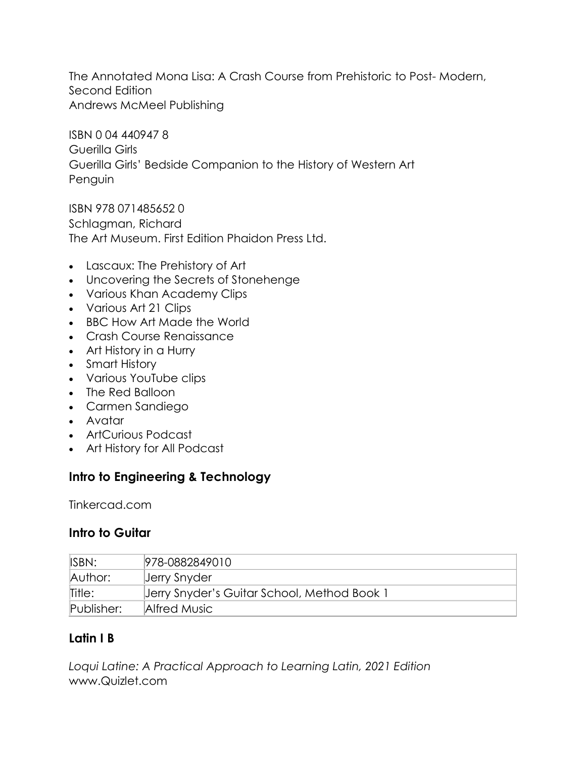The Annotated Mona Lisa: A Crash Course from Prehistoric to Post- Modern, Second Edition Andrews McMeel Publishing

ISBN 0 04 440947 8 Guerilla Girls Guerilla Girls' Bedside Companion to the History of Western Art Penguin

ISBN 978 071485652 0 Schlagman, Richard The Art Museum. First Edition Phaidon Press Ltd.

- Lascaux: The Prehistory of Art
- Uncovering the Secrets of Stonehenge
- Various Khan Academy Clips
- Various Art 21 Clips
- BBC How Art Made the World
- Crash Course Renaissance
- Art History in a Hurry
- Smart History
- Various YouTube clips
- The Red Balloon
- Carmen Sandiego
- Avatar
- ArtCurious Podcast
- Art History for All Podcast

## **Intro to Engineering & Technology**

Tinkercad.com

#### **Intro to Guitar**

| ISBN:      | 978-0882849010                              |
|------------|---------------------------------------------|
| Author:    | Jerry Snyder                                |
| Title:     | Jerry Snyder's Guitar School, Method Book 1 |
| Publisher: | Alfred Music                                |

#### **Latin I B**

*Loqui Latine: A Practical Approach to Learning Latin, 2021 Edition* www.Quizlet.com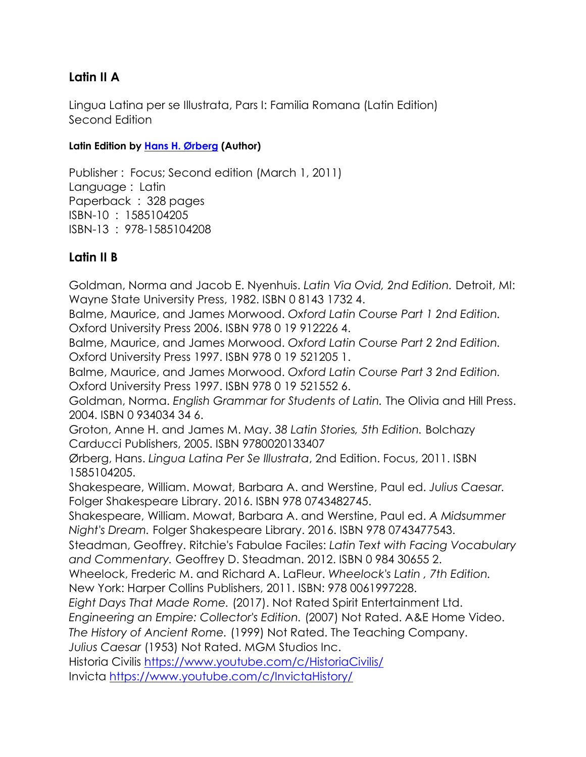## **Latin II A**

Lingua Latina per se Illustrata, Pars I: Familia Romana (Latin Edition) Second Edition

#### **Latin Edition by [Hans H. Ørberg](https://www.amazon.com/s/ref=dp_byline_sr_book_1?ie=UTF8&field-author=Hans+H.+%C3%98rberg&text=Hans+H.+%C3%98rberg&sort=relevancerank&search-alias=books) (Author)**

Publisher : Focus; Second edition (March 1, 2011) Language : Latin Paperback : 328 pages ISBN-10 : 1585104205 ISBN-13 : 978-1585104208

### **Latin II B**

Goldman, Norma and Jacob E. Nyenhuis. *Latin Via Ovid, 2nd Edition.* Detroit, MI: Wayne State University Press, 1982. ISBN 0 8143 1732 4.

Balme, Maurice, and James Morwood. *Oxford Latin Course Part 1 2nd Edition.*  Oxford University Press 2006. ISBN 978 0 19 912226 4.

Balme, Maurice, and James Morwood. *Oxford Latin Course Part 2 2nd Edition.* Oxford University Press 1997. ISBN 978 0 19 521205 1.

Balme, Maurice, and James Morwood. *Oxford Latin Course Part 3 2nd Edition.* Oxford University Press 1997. ISBN 978 0 19 521552 6.

Goldman, Norma. *English Grammar for Students of Latin.* The Olivia and Hill Press. 2004. ISBN 0 934034 34 6.

Groton, Anne H. and James M. May. *38 Latin Stories, 5th Edition.* Bolchazy Carducci Publishers, 2005. ISBN 9780020133407

Ørberg, Hans. *Lingua Latina Per Se Illustrata*, 2nd Edition. Focus, 2011. ISBN 1585104205.

Shakespeare, William. Mowat, Barbara A. and Werstine, Paul ed. *Julius Caesar.* Folger Shakespeare Library. 2016. ISBN 978 0743482745.

Shakespeare, William. Mowat, Barbara A. and Werstine, Paul ed. *A Midsummer Night's Dream.* Folger Shakespeare Library. 2016. ISBN 978 0743477543.

Steadman, Geoffrey. Ritchie's Fabulae Faciles: *Latin Text with Facing Vocabulary and Commentary.* Geoffrey D. Steadman. 2012. ISBN 0 984 30655 2.

Wheelock, Frederic M. and Richard A. LaFleur. *Wheelock's Latin , 7th Edition.* New York: Harper Collins Publishers, 2011. ISBN: 978 0061997228.

*Eight Days That Made Rome.* (2017). Not Rated Spirit Entertainment Ltd.

*Engineering an Empire: Collector's Edition.* (2007) Not Rated. A&E Home Video.

*The History of Ancient Rome.* (1999) Not Rated. The Teaching Company.

*Julius Caesar* (1953) Not Rated. MGM Studios Inc.

Historia Civilis<https://www.youtube.com/c/HistoriaCivilis/> Invicta<https://www.youtube.com/c/InvictaHistory/>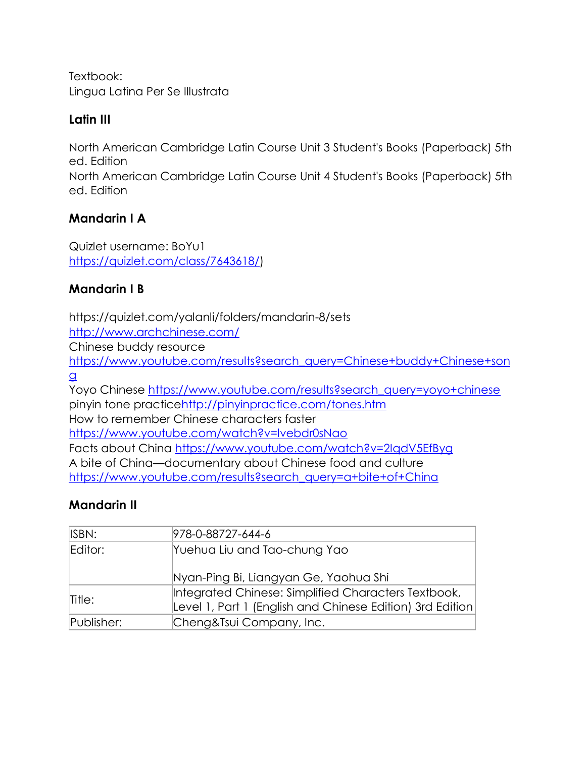Textbook: Lingua Latina Per Se Illustrata

### **Latin III**

North American Cambridge Latin Course Unit 3 Student's Books (Paperback) 5th ed. Edition

North American Cambridge Latin Course Unit 4 Student's Books (Paperback) 5th ed. Edition

## **Mandarin I A**

Quizlet username: BoYu1 [https://quizlet.com/class/7643618/\)](https://quizlet.com/class/7643618/)

## **Mandarin I B**

<https://quizlet.com/yalanli/folders/mandarin-8/sets>

<http://www.archchinese.com/>

Chinese buddy resource

[https://www.youtube.com/results?search\\_query=Chinese+buddy+Chinese+son](https://www.youtube.com/results?search_query=Chinese+buddy+Chinese+song) [g](https://www.youtube.com/results?search_query=Chinese+buddy+Chinese+song)

Yoyo Chinese [https://www.youtube.com/results?search\\_query=yoyo+chinese](https://www.youtube.com/results?search_query=yoyo+chinese) pinyin tone practic[ehttp://pinyinpractice.com/tones.htm](http://pinyinpractice.com/tones.htm) How to remember Chinese characters faster <https://www.youtube.com/watch?v=lvebdr0sNao> Facts about China<https://www.youtube.com/watch?v=2IqdV5EfByg>

A bite of China—documentary about Chinese food and culture [https://www.youtube.com/results?search\\_query=a+bite+of+China](https://www.youtube.com/results?search_query=a+bite+of+China)

## **Mandarin II**

| ISBN:      | 978-0-88727-644-6                                                                                                |
|------------|------------------------------------------------------------------------------------------------------------------|
| Editor:    | Yuehua Liu and Tao-chung Yao                                                                                     |
|            | Nyan-Ping Bi, Liangyan Ge, Yaohua Shi                                                                            |
| Title:     | Integrated Chinese: Simplified Characters Textbook,<br>Level 1, Part 1 (English and Chinese Edition) 3rd Edition |
| Publisher: | Cheng&Tsui Company, Inc.                                                                                         |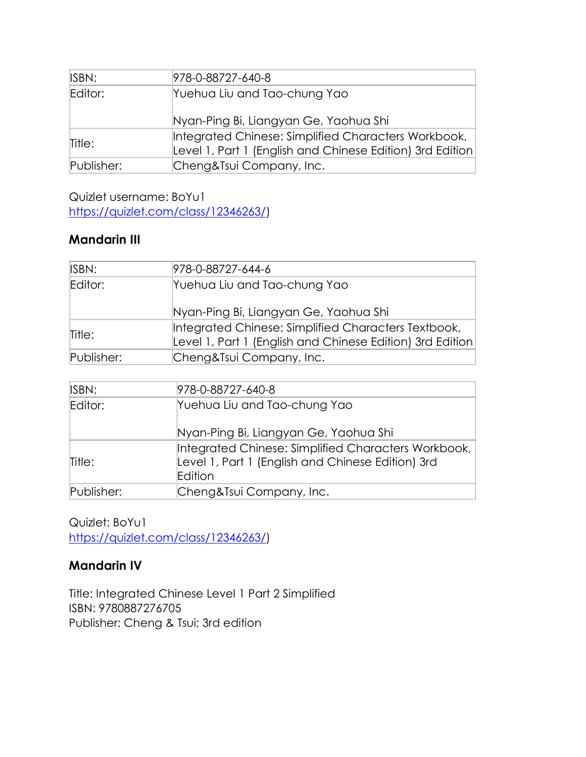| ISBN:      | 978-0-88727-640-8                                                                                                |
|------------|------------------------------------------------------------------------------------------------------------------|
| Editor:    | Yuehua Liu and Tao-chung Yao                                                                                     |
|            | Nyan-Ping Bi, Liangyan Ge, Yaohua Shi                                                                            |
| Title:     | Integrated Chinese: Simplified Characters Workbook,<br>Level 1, Part 1 (English and Chinese Edition) 3rd Edition |
| Publisher: | Cheng&Tsui Company, Inc.                                                                                         |

Quizlet username: BoYu1 [https://quizlet.com/class/12346263/\)](https://quizlet.com/class/12346263/)

### **Mandarin III**

| ISBN:      | 978-0-88727-644-6                                         |
|------------|-----------------------------------------------------------|
| Editor:    | Yuehua Liu and Tao-chung Yao                              |
|            | Nyan-Ping Bi, Liangyan Ge, Yaohua Shi                     |
| Title:     | Integrated Chinese: Simplified Characters Textbook,       |
|            | Level 1, Part 1 (English and Chinese Edition) 3rd Edition |
| Publisher: | Cheng&Tsui Company, Inc.                                  |
|            |                                                           |

| 978-0-88727-640-8                                                                                        |
|----------------------------------------------------------------------------------------------------------|
| Yuehua Liu and Tao-chung Yao                                                                             |
| Nyan-Ping Bi, Liangyan Ge, Yaohua Shi                                                                    |
| Integrated Chinese: Simplified Characters Workbook,<br>Level 1, Part 1 (English and Chinese Edition) 3rd |
| Edition                                                                                                  |
| Cheng&Tsui Company, Inc.                                                                                 |
|                                                                                                          |

Quizlet: BoYu1 [https://quizlet.com/class/12346263/\)](https://quizlet.com/class/12346263/)

## **Mandarin IV**

Title: Integrated Chinese Level 1 Part 2 Simplified ISBN: 9780887276705 Publisher: Cheng & Tsui; 3rd edition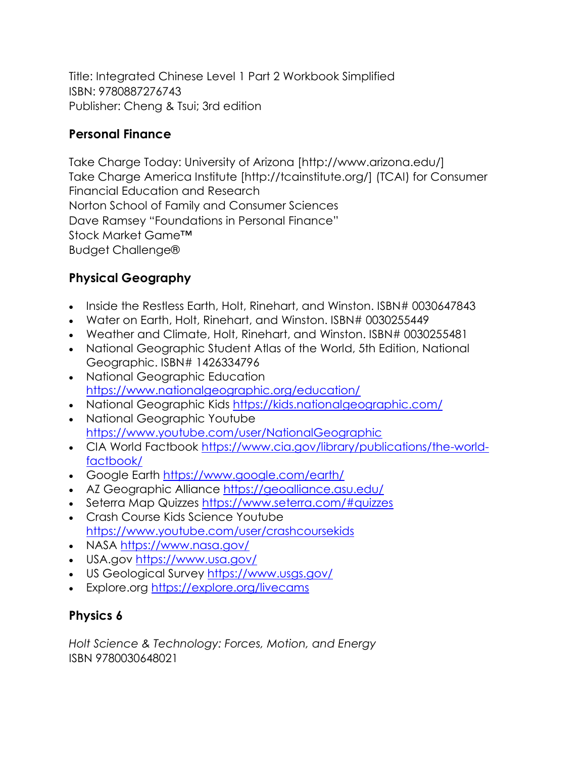Title: Integrated Chinese Level 1 Part 2 Workbook Simplified ISBN: 9780887276743 Publisher: Cheng & Tsui; 3rd edition

## **Personal Finance**

Take Charge Today: University of Arizona [http://www.arizona.edu/] Take Charge America Institute [http://tcainstitute.org/] (TCAI) for Consumer Financial Education and Research Norton School of Family and Consumer Sciences Dave Ramsey "Foundations in Personal Finance" Stock Market Game™ Budget Challenge®

## **Physical Geography**

- Inside the Restless Earth, Holt, Rinehart, and Winston, ISBN# 0030647843
- Water on Earth, Holt, Rinehart, and Winston. ISBN# 0030255449
- Weather and Climate, Holt, Rinehart, and Winston. ISBN# 0030255481
- National Geographic Student Atlas of the World, 5th Edition, National Geographic. ISBN# 1426334796
- National Geographic Education <https://www.nationalgeographic.org/education/>
- National Geographic Kids<https://kids.nationalgeographic.com/>
- National Geographic Youtube <https://www.youtube.com/user/NationalGeographic>
- CIA World Factbook [https://www.cia.gov/library/publications/the-world](https://www.cia.gov/library/publications/the-world-factbook/)[factbook/](https://www.cia.gov/library/publications/the-world-factbook/)
- Google Earth<https://www.google.com/earth/>
- AZ Geographic Alliance<https://geoalliance.asu.edu/>
- Seterra Map Quizzes<https://www.seterra.com/#quizzes>
- Crash Course Kids Science Youtube <https://www.youtube.com/user/crashcoursekids>
- NASA<https://www.nasa.gov/>
- USA.gov<https://www.usa.gov/>
- US Geological Survey<https://www.usgs.gov/>
- Explore.org<https://explore.org/livecams>

## **Physics 6**

*Holt Science & Technology: Forces, Motion, and Energy* ISBN 9780030648021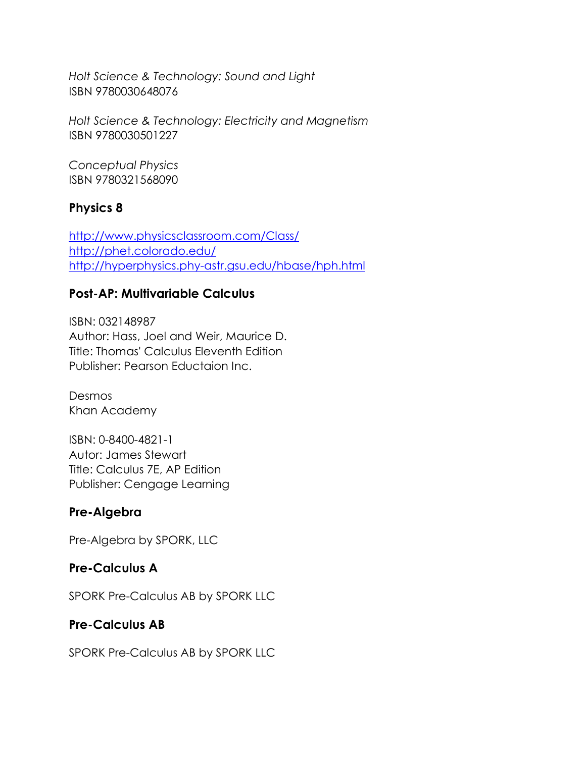*Holt Science & Technology: Sound and Light*  ISBN 9780030648076

*Holt Science & Technology: Electricity and Magnetism* ISBN 9780030501227

*Conceptual Physics* ISBN 9780321568090

#### **Physics 8**

<http://www.physicsclassroom.com/Class/> <http://phet.colorado.edu/> <http://hyperphysics.phy-astr.gsu.edu/hbase/hph.html>

### **Post-AP: Multivariable Calculus**

ISBN: 032148987 Author: Hass, Joel and Weir, Maurice D. Title: Thomas' Calculus Eleventh Edition Publisher: Pearson Eductaion Inc.

Desmos Khan Academy

ISBN: 0-8400-4821-1 Autor: James Stewart Title: Calculus 7E, AP Edition Publisher: Cengage Learning

## **Pre-Algebra**

Pre-Algebra by SPORK, LLC

#### **Pre-Calculus A**

SPORK Pre-Calculus AB by SPORK LLC

#### **Pre-Calculus AB**

SPORK Pre-Calculus AB by SPORK LLC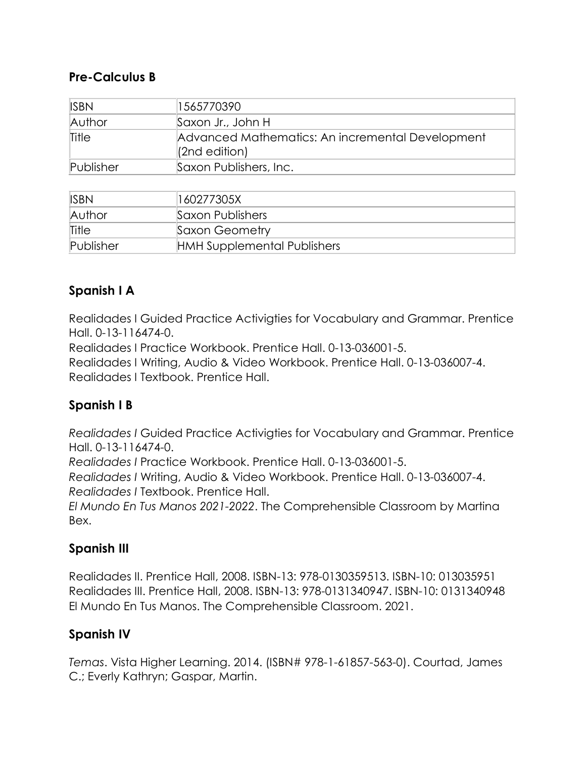### **Pre-Calculus B**

| <b>ISBN</b> | 1565770390                                                            |
|-------------|-----------------------------------------------------------------------|
| Author      | Saxon Jr., John H                                                     |
| Title       | Advanced Mathematics: An incremental Development<br>$ $ (2nd edition) |
| Publisher   | Saxon Publishers, Inc.                                                |

| <b>ISBN</b> | 160277305X                         |
|-------------|------------------------------------|
| Author      | Saxon Publishers                   |
| Title       | Saxon Geometry                     |
| Publisher   | <b>HMH Supplemental Publishers</b> |

## **Spanish I A**

Realidades I Guided Practice Activigties for Vocabulary and Grammar. Prentice Hall. 0-13-116474-0.

Realidades I Practice Workbook. Prentice Hall. 0-13-036001-5.

Realidades I Writing, Audio & Video Workbook. Prentice Hall. 0-13-036007-4. Realidades I Textbook. Prentice Hall.

## **Spanish I B**

*Realidades I* Guided Practice Activigties for Vocabulary and Grammar. Prentice Hall. 0-13-116474-0.

*Realidades I* Practice Workbook. Prentice Hall. 0-13-036001-5.

*Realidades I* Writing, Audio & Video Workbook. Prentice Hall. 0-13-036007-4. *Realidades I* Textbook. Prentice Hall.

*El Mundo En Tus Manos 2021-2022*. The Comprehensible Classroom by Martina Bex.

## **Spanish III**

Realidades II. Prentice Hall, 2008. ISBN-13: 978-0130359513. ISBN-10: 013035951 Realidades III. Prentice Hall, 2008. ISBN-13: 978-0131340947. ISBN-10: 0131340948 El Mundo En Tus Manos. The Comprehensible Classroom. 2021.

## **Spanish IV**

*Temas*. Vista Higher Learning. 2014. (ISBN# 978-1-61857-563-0). Courtad, James C.; Everly Kathryn; Gaspar, Martin.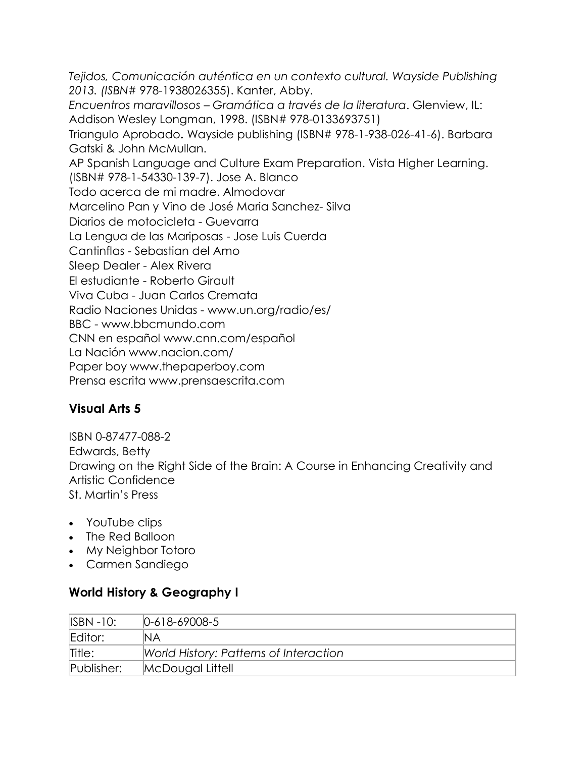*Tejidos, Comunicación auténtica en un contexto cultural. Wayside Publishing 2013. (ISBN#* 978-1938026355). Kanter, Abby. *Encuentros maravillosos – Gramática a través de la literatura*. Glenview, IL: Addison Wesley Longman, 1998. (ISBN# 978-0133693751) Triangulo Aprobado**.** Wayside publishing (ISBN# 978-1-938-026-41-6). Barbara Gatski & John McMullan. AP Spanish Language and Culture Exam Preparation. Vista Higher Learning. (ISBN# 978-1-54330-139-7). Jose A. Blanco Todo acerca de mi madre. Almodovar Marcelino Pan y Vino de José Maria Sanchez- Silva Diarios de motocicleta - Guevarra La Lengua de las Mariposas - Jose Luis Cuerda Cantinflas - Sebastian del Amo Sleep Dealer - Alex Rivera El estudiante - Roberto Girault Viva Cuba - Juan Carlos Cremata Radio Naciones Unidas - www.un.org/radio/es/ BBC - www.bbcmundo.com CNN en español www.cnn.com/español La Nación www.nacion.com/ Paper boy www.thepaperboy.com Prensa escrita www.prensaescrita.com

## **Visual Arts 5**

ISBN 0-87477-088-2 Edwards, Betty Drawing on the Right Side of the Brain: A Course in Enhancing Creativity and Artistic Confidence St. Martin's Press

- YouTube clips
- The Red Balloon
- My Neighbor Totoro
- Carmen Sandiego

#### **World History & Geography I**

| <b>ISBN -10:</b> | $0-618-69008-5$                        |
|------------------|----------------------------------------|
| Editor:          | ΝA                                     |
| Title:           | World History: Patterns of Interaction |
| Publisher:       | McDougal Littell                       |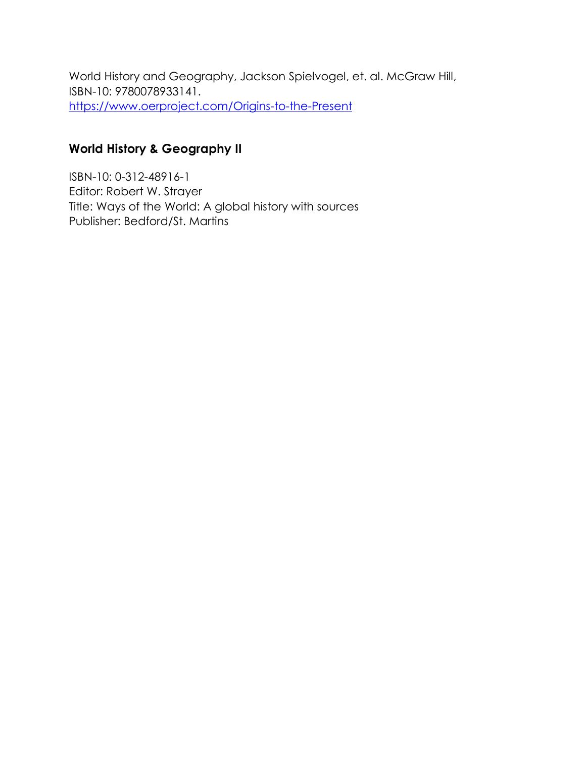World History and Geography, Jackson Spielvogel, et. al. McGraw Hill, ISBN-10: 9780078933141. <https://www.oerproject.com/Origins-to-the-Present>

#### **World History & Geography II**

ISBN-10: 0-312-48916-1 Editor: Robert W. Strayer Title: Ways of the World: A global history with sources Publisher: Bedford/St. Martins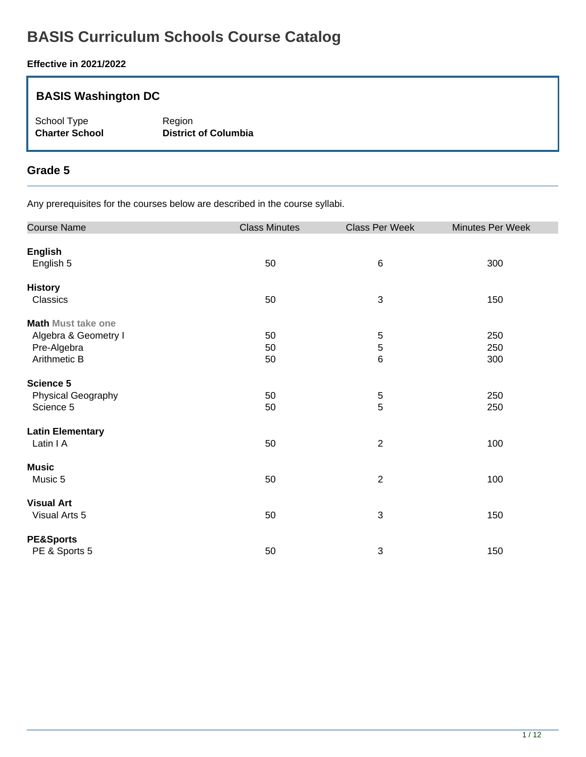# **BASIS Curriculum Schools Course Catalog**

#### **Effective in 2021/2022**

### **BASIS Washington DC**

School Type Region<br> **Charter School Charter School** 

**District of Columbia** 

#### **Grade 5**

| <b>Course Name</b>        | <b>Class Minutes</b> | Class Per Week | Minutes Per Week |
|---------------------------|----------------------|----------------|------------------|
| <b>English</b>            |                      |                |                  |
| English 5                 | 50                   | $\,6$          | 300              |
| <b>History</b>            |                      |                |                  |
| Classics                  | 50                   | $\sqrt{3}$     | 150              |
| <b>Math Must take one</b> |                      |                |                  |
| Algebra & Geometry I      | 50                   | 5              | 250              |
| Pre-Algebra               | 50                   | 5              | 250              |
| Arithmetic B              | 50                   | 6              | 300              |
| Science 5                 |                      |                |                  |
| Physical Geography        | 50                   | 5              | 250              |
| Science 5                 | 50                   | 5              | 250              |
| <b>Latin Elementary</b>   |                      |                |                  |
| Latin I A                 | 50                   | $\sqrt{2}$     | 100              |
| <b>Music</b>              |                      |                |                  |
| Music 5                   | 50                   | $\sqrt{2}$     | 100              |
| <b>Visual Art</b>         |                      |                |                  |
| Visual Arts 5             | 50                   | $\sqrt{3}$     | 150              |
| <b>PE&amp;Sports</b>      |                      |                |                  |
| PE & Sports 5             | 50                   | $\mathbf{3}$   | 150              |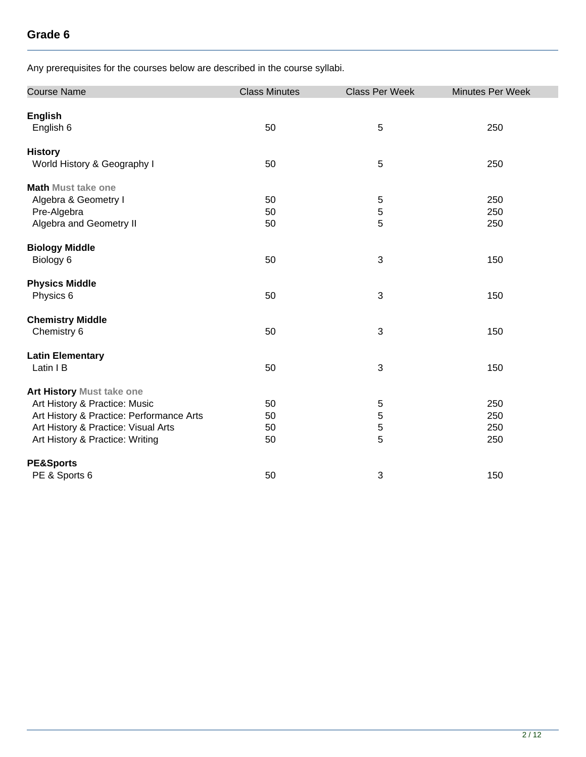| <b>Course Name</b>                       | <b>Class Minutes</b> | <b>Class Per Week</b> | Minutes Per Week |
|------------------------------------------|----------------------|-----------------------|------------------|
| <b>English</b>                           |                      |                       |                  |
| English 6                                | 50                   | 5                     | 250              |
| <b>History</b>                           |                      |                       |                  |
| World History & Geography I              | 50                   | $\overline{5}$        | 250              |
| <b>Math Must take one</b>                |                      |                       |                  |
| Algebra & Geometry I                     | 50                   | $\sqrt{5}$            | 250              |
| Pre-Algebra                              | 50                   | 5                     | 250              |
| Algebra and Geometry II                  | 50                   | 5                     | 250              |
| <b>Biology Middle</b>                    |                      |                       |                  |
| Biology 6                                | 50                   | $\sqrt{3}$            | 150              |
| <b>Physics Middle</b>                    |                      |                       |                  |
| Physics 6                                | 50                   | 3                     | 150              |
| <b>Chemistry Middle</b>                  |                      |                       |                  |
| Chemistry 6                              | 50                   | 3                     | 150              |
| <b>Latin Elementary</b>                  |                      |                       |                  |
| Latin I B                                | 50                   | $\sqrt{3}$            | 150              |
| Art History Must take one                |                      |                       |                  |
| Art History & Practice: Music            | 50                   | $\sqrt{5}$            | 250              |
| Art History & Practice: Performance Arts | 50                   | 5                     | 250              |
| Art History & Practice: Visual Arts      | 50                   | 5                     | 250              |
| Art History & Practice: Writing          | 50                   | 5                     | 250              |
| <b>PE&amp;Sports</b>                     |                      |                       |                  |
| PE & Sports 6                            | 50                   | $\sqrt{3}$            | 150              |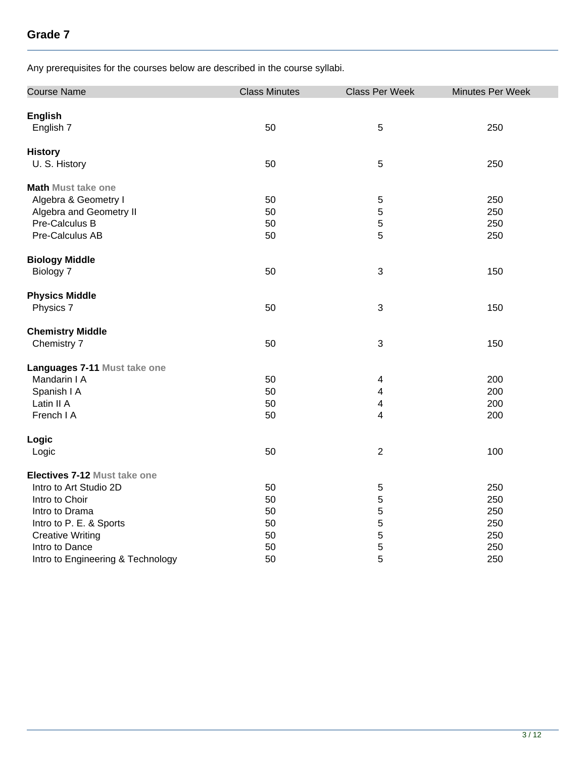| <b>Course Name</b>                | <b>Class Minutes</b> | <b>Class Per Week</b>   | Minutes Per Week |
|-----------------------------------|----------------------|-------------------------|------------------|
|                                   |                      |                         |                  |
| <b>English</b>                    |                      |                         |                  |
| English 7                         | 50                   | 5                       | 250              |
| <b>History</b>                    |                      |                         |                  |
| U. S. History                     | 50                   | $\sqrt{5}$              | 250              |
| <b>Math Must take one</b>         |                      |                         |                  |
| Algebra & Geometry I              | 50                   | 5                       | 250              |
| Algebra and Geometry II           | 50                   | $\overline{5}$          | 250              |
| Pre-Calculus B                    | 50                   | $\sqrt{5}$              | 250              |
| Pre-Calculus AB                   | 50                   | 5                       | 250              |
| <b>Biology Middle</b>             |                      |                         |                  |
| Biology 7                         | 50                   | $\sqrt{3}$              | 150              |
| <b>Physics Middle</b>             |                      |                         |                  |
| Physics 7                         | 50                   | $\sqrt{3}$              | 150              |
| <b>Chemistry Middle</b>           |                      |                         |                  |
| Chemistry 7                       | 50                   | $\sqrt{3}$              | 150              |
| Languages 7-11 Must take one      |                      |                         |                  |
| Mandarin I A                      | 50                   | 4                       | 200              |
| Spanish I A                       | 50                   | $\overline{\mathbf{4}}$ | 200              |
| Latin II A                        | 50                   | 4                       | 200              |
| French I A                        | 50                   | $\overline{\mathbf{4}}$ | 200              |
| Logic                             |                      |                         |                  |
| Logic                             | 50                   | $\overline{2}$          | 100              |
| Electives 7-12 Must take one      |                      |                         |                  |
| Intro to Art Studio 2D            | 50                   | $\mathbf 5$             | 250              |
| Intro to Choir                    | 50                   | 5                       | 250              |
| Intro to Drama                    | 50                   | 5                       | 250              |
| Intro to P. E. & Sports           | 50                   | $\mathbf 5$             | 250              |
| <b>Creative Writing</b>           | 50                   | 5                       | 250              |
| Intro to Dance                    | 50                   | 5                       | 250              |
| Intro to Engineering & Technology | 50                   | 5                       | 250              |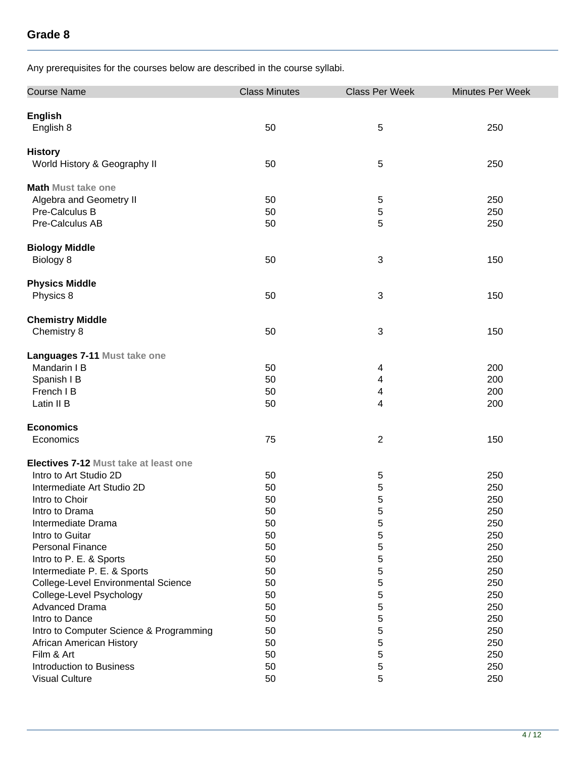| <b>Course Name</b>                           | <b>Class Minutes</b> | <b>Class Per Week</b> | Minutes Per Week |
|----------------------------------------------|----------------------|-----------------------|------------------|
| <b>English</b>                               |                      |                       |                  |
| English 8                                    | 50                   | 5                     | 250              |
| <b>History</b>                               |                      |                       |                  |
| World History & Geography II                 | 50                   | 5                     | 250              |
| <b>Math Must take one</b>                    |                      |                       |                  |
| Algebra and Geometry II                      | 50                   | $\sqrt{5}$            | 250              |
| Pre-Calculus B                               | 50                   | 5                     | 250              |
| Pre-Calculus AB                              | 50                   | 5                     | 250              |
| <b>Biology Middle</b>                        |                      |                       |                  |
| Biology 8                                    | 50                   | $\sqrt{3}$            | 150              |
| <b>Physics Middle</b>                        |                      |                       |                  |
| Physics 8                                    | 50                   | $\sqrt{3}$            | 150              |
| <b>Chemistry Middle</b>                      |                      |                       |                  |
| Chemistry 8                                  | 50                   | $\sqrt{3}$            | 150              |
| Languages 7-11 Must take one                 |                      |                       |                  |
| Mandarin I B                                 | 50                   | 4                     | 200              |
| Spanish I B                                  | 50                   | 4                     | 200              |
| French I B                                   | 50                   | 4                     | 200              |
| Latin II B                                   | 50                   | 4                     | 200              |
| <b>Economics</b>                             |                      |                       |                  |
| Economics                                    | 75                   | $\sqrt{2}$            | 150              |
| <b>Electives 7-12 Must take at least one</b> |                      |                       |                  |
| Intro to Art Studio 2D                       | 50                   | 5                     | 250              |
| Intermediate Art Studio 2D                   | 50                   | 5                     | 250              |
| Intro to Choir                               | 50                   | 5                     | 250              |
| Intro to Drama                               | 50                   | 5                     | 250              |
| Intermediate Drama                           | 50                   | 5                     | 250              |
| Intro to Guitar                              | 50                   | 5                     | 250              |
| <b>Personal Finance</b>                      | 50                   | 5                     | 250              |
| Intro to P. E. & Sports                      | 50                   | 5                     | 250              |
| Intermediate P. E. & Sports                  | 50                   | 5                     | 250              |
| College-Level Environmental Science          | 50                   | 5                     | 250              |
| College-Level Psychology                     | 50                   | 5                     | 250              |
| <b>Advanced Drama</b>                        | 50                   | 5                     | 250              |
| Intro to Dance                               | 50                   | 5                     | 250              |
| Intro to Computer Science & Programming      | 50                   | 5                     | 250              |
| African American History                     | 50                   | 5                     | 250              |
| Film & Art                                   | 50                   | 5                     | 250              |
| <b>Introduction to Business</b>              | 50                   | 5                     | 250              |
| <b>Visual Culture</b>                        | 50                   | 5                     | 250              |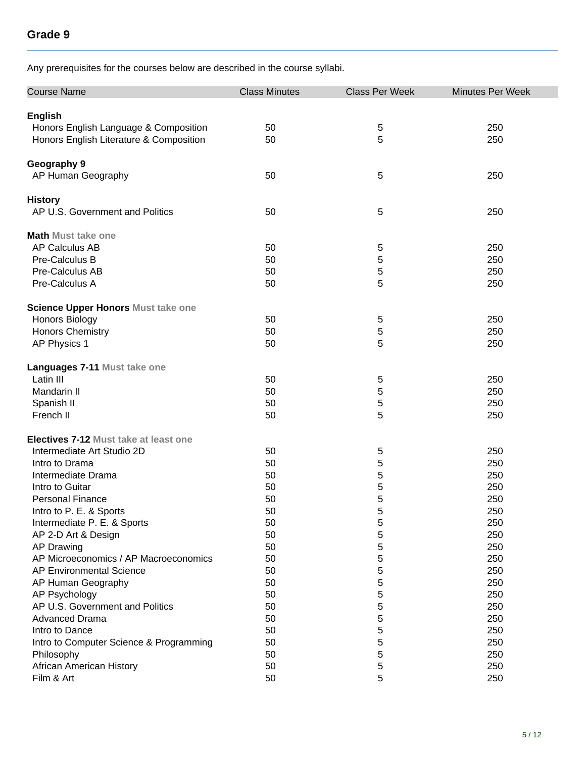| <b>Course Name</b>                           | <b>Class Minutes</b> | <b>Class Per Week</b> | Minutes Per Week |
|----------------------------------------------|----------------------|-----------------------|------------------|
| <b>English</b>                               |                      |                       |                  |
| Honors English Language & Composition        | 50                   | $\,$ 5 $\,$           | 250              |
| Honors English Literature & Composition      | 50                   | 5                     | 250              |
|                                              |                      |                       |                  |
| Geography 9                                  |                      |                       |                  |
| AP Human Geography                           | 50                   | 5                     | 250              |
| <b>History</b>                               |                      |                       |                  |
| AP U.S. Government and Politics              | 50                   | 5                     | 250              |
| <b>Math Must take one</b>                    |                      |                       |                  |
| <b>AP Calculus AB</b>                        | 50                   |                       | 250              |
| Pre-Calculus B                               | 50                   | 5                     | 250              |
|                                              |                      | 5                     |                  |
| Pre-Calculus AB                              | 50                   | 5                     | 250              |
| Pre-Calculus A                               | 50                   | 5                     | 250              |
| <b>Science Upper Honors Must take one</b>    |                      |                       |                  |
| <b>Honors Biology</b>                        | 50                   | 5                     | 250              |
| <b>Honors Chemistry</b>                      | 50                   | $\sqrt{5}$            | 250              |
| AP Physics 1                                 | 50                   | 5                     | 250              |
| Languages 7-11 Must take one                 |                      |                       |                  |
| Latin III                                    | 50                   | 5                     | 250              |
| Mandarin II                                  | 50                   | 5                     | 250              |
| Spanish II                                   | 50                   | 5                     | 250              |
| French II                                    | 50                   | 5                     | 250              |
|                                              |                      |                       |                  |
| <b>Electives 7-12 Must take at least one</b> |                      |                       |                  |
| Intermediate Art Studio 2D                   | 50                   | 5                     | 250              |
| Intro to Drama                               | 50                   | 5                     | 250              |
| Intermediate Drama                           | 50                   | 5                     | 250              |
| Intro to Guitar                              | 50                   | 5                     | 250              |
| <b>Personal Finance</b>                      | 50                   | 5                     | 250              |
| Intro to P. E. & Sports                      | 50                   | 5                     | 250              |
| Intermediate P. E. & Sports                  | 50                   | 5                     | 250              |
| AP 2-D Art & Design                          | 50                   | 5                     | 250              |
| <b>AP Drawing</b>                            | 50                   | 5                     | 250              |
| AP Microeconomics / AP Macroeconomics        | 50                   | 5                     | 250              |
| <b>AP Environmental Science</b>              | 50                   | 5                     | 250              |
| AP Human Geography                           | 50                   | 5                     | 250              |
| AP Psychology                                | 50                   | 5                     | 250              |
| AP U.S. Government and Politics              | 50                   | 5                     | 250              |
| <b>Advanced Drama</b>                        | 50                   | 5                     | 250              |
| Intro to Dance                               | 50                   | 5                     | 250              |
| Intro to Computer Science & Programming      | 50                   | 5                     | 250              |
| Philosophy                                   | 50                   | 5                     | 250              |
| African American History                     | 50                   | 5                     | 250              |
| Film & Art                                   | 50                   | 5                     | 250              |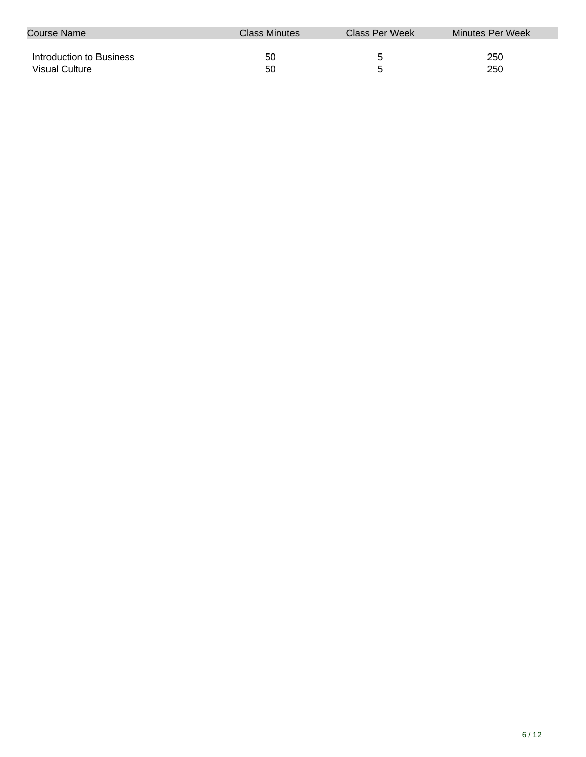| Course Name              | Class Minutes | Class Per Week | Minutes Per Week |
|--------------------------|---------------|----------------|------------------|
|                          |               |                |                  |
| Introduction to Business | 50            | b              | 250              |
| Visual Culture           | 50            |                | 250              |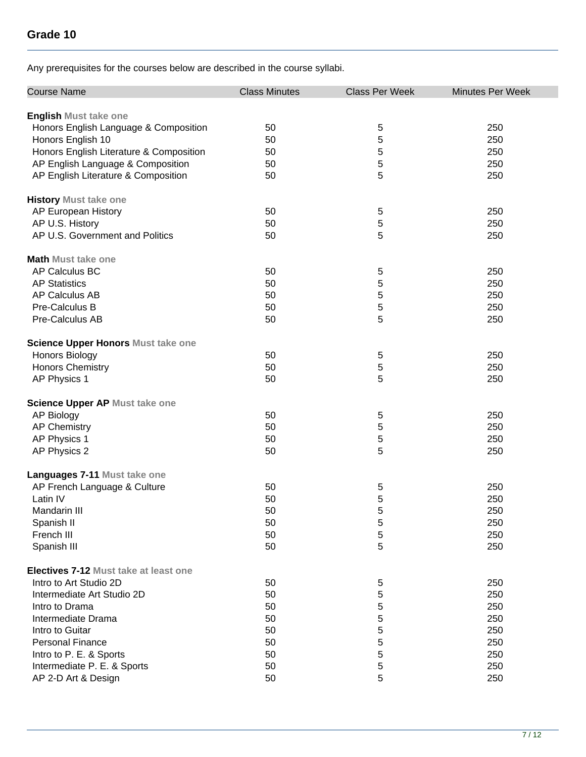| <b>Course Name</b>                           | <b>Class Minutes</b> | <b>Class Per Week</b> | <b>Minutes Per Week</b> |
|----------------------------------------------|----------------------|-----------------------|-------------------------|
| <b>English Must take one</b>                 |                      |                       |                         |
| Honors English Language & Composition        | 50                   | 5                     | 250                     |
| Honors English 10                            | 50                   | 5                     | 250                     |
| Honors English Literature & Composition      | 50                   | 5                     | 250                     |
| AP English Language & Composition            | 50                   | 5                     | 250                     |
| AP English Literature & Composition          | 50                   | 5                     | 250                     |
| <b>History Must take one</b>                 |                      |                       |                         |
| AP European History                          | 50                   | 5                     | 250                     |
| AP U.S. History                              | 50                   | 5                     | 250                     |
| AP U.S. Government and Politics              | 50                   | 5                     | 250                     |
| <b>Math Must take one</b>                    |                      |                       |                         |
| AP Calculus BC                               | 50                   | 5                     | 250                     |
| <b>AP Statistics</b>                         | 50                   | 5                     | 250                     |
| AP Calculus AB                               | 50                   | 5                     | 250                     |
| Pre-Calculus B                               | 50                   | 5                     | 250                     |
| Pre-Calculus AB                              | 50                   | 5                     | 250                     |
| Science Upper Honors Must take one           |                      |                       |                         |
| <b>Honors Biology</b>                        | 50                   | 5                     | 250                     |
| <b>Honors Chemistry</b>                      | 50                   | 5                     | 250                     |
| AP Physics 1                                 | 50                   | 5                     | 250                     |
| Science Upper AP Must take one               |                      |                       |                         |
| <b>AP Biology</b>                            | 50                   | 5                     | 250                     |
| <b>AP Chemistry</b>                          | 50                   | 5                     | 250                     |
| AP Physics 1                                 | 50                   | 5                     | 250                     |
| AP Physics 2                                 | 50                   | 5                     | 250                     |
| Languages 7-11 Must take one                 |                      |                       |                         |
| AP French Language & Culture                 | 50                   | 5                     | 250                     |
| Latin IV                                     | 50                   | 5                     | 250                     |
| Mandarin III                                 | 50                   | 5                     | 250                     |
| Spanish II                                   | 50                   | 5                     | 250                     |
| French III                                   | 50                   | 5                     | 250                     |
| Spanish III                                  | 50                   | 5                     | 250                     |
| <b>Electives 7-12 Must take at least one</b> |                      |                       |                         |
| Intro to Art Studio 2D                       | 50                   | 5                     | 250                     |
| Intermediate Art Studio 2D                   | 50                   | 5                     | 250                     |
| Intro to Drama                               | 50                   | 5                     | 250                     |
| Intermediate Drama                           | 50                   | 5                     | 250                     |
| Intro to Guitar                              | 50                   | 5                     | 250                     |
| <b>Personal Finance</b>                      | 50                   | 5                     | 250                     |
| Intro to P. E. & Sports                      | 50                   | 5                     | 250                     |
| Intermediate P. E. & Sports                  | 50                   | 5                     | 250                     |
| AP 2-D Art & Design                          | 50                   | 5                     | 250                     |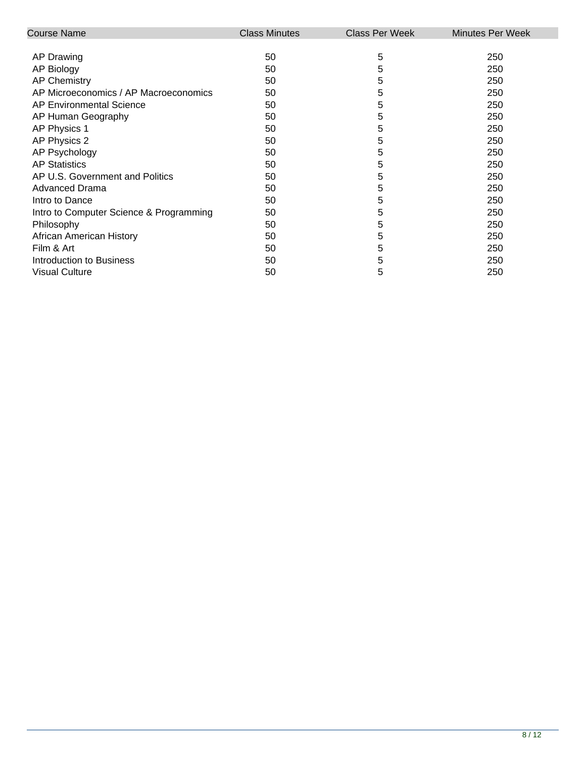| Course Name                             | <b>Class Minutes</b> | <b>Class Per Week</b> | <b>Minutes Per Week</b> |
|-----------------------------------------|----------------------|-----------------------|-------------------------|
|                                         |                      |                       |                         |
| AP Drawing                              | 50                   | 5                     | 250                     |
| <b>AP Biology</b>                       | 50                   | 5                     | 250                     |
| <b>AP Chemistry</b>                     | 50                   | 5                     | 250                     |
| AP Microeconomics / AP Macroeconomics   | 50                   | 5                     | 250                     |
| AP Environmental Science                | 50                   | 5                     | 250                     |
| AP Human Geography                      | 50                   | 5                     | 250                     |
| AP Physics 1                            | 50                   | 5                     | 250                     |
| AP Physics 2                            | 50                   | 5                     | 250                     |
| AP Psychology                           | 50                   | 5                     | 250                     |
| <b>AP Statistics</b>                    | 50                   | 5                     | 250                     |
| AP U.S. Government and Politics         | 50                   | 5                     | 250                     |
| <b>Advanced Drama</b>                   | 50                   | 5                     | 250                     |
| Intro to Dance                          | 50                   | 5                     | 250                     |
| Intro to Computer Science & Programming | 50                   | 5                     | 250                     |
| Philosophy                              | 50                   | 5                     | 250                     |
| African American History                | 50                   | 5                     | 250                     |
| Film & Art                              | 50                   | 5                     | 250                     |
| Introduction to Business                | 50                   | 5                     | 250                     |
| <b>Visual Culture</b>                   | 50                   | 5                     | 250                     |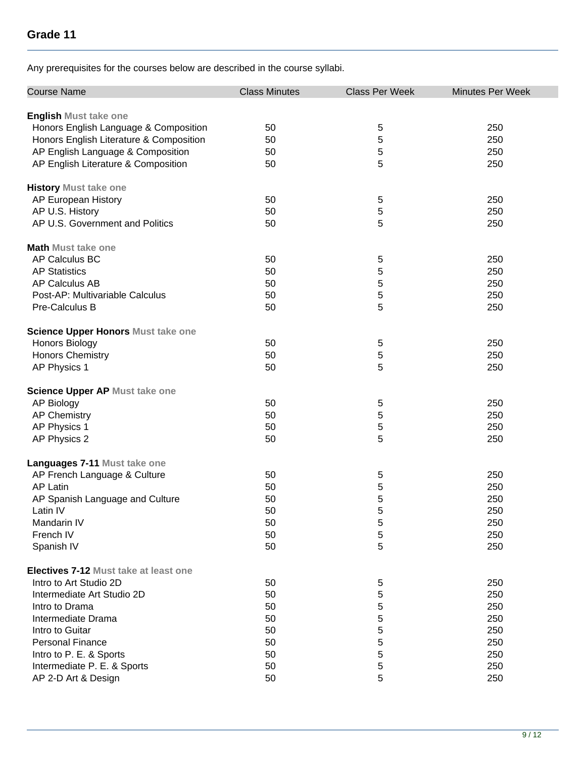| <b>Course Name</b>                        | <b>Class Minutes</b> | <b>Class Per Week</b> | <b>Minutes Per Week</b> |
|-------------------------------------------|----------------------|-----------------------|-------------------------|
| <b>English Must take one</b>              |                      |                       |                         |
| Honors English Language & Composition     | 50                   | 5                     | 250                     |
| Honors English Literature & Composition   | 50                   | 5                     | 250                     |
| AP English Language & Composition         | 50                   | 5                     | 250                     |
| AP English Literature & Composition       | 50                   | 5                     | 250                     |
|                                           |                      |                       |                         |
| <b>History Must take one</b>              |                      |                       |                         |
| AP European History                       | 50                   | 5                     | 250                     |
| AP U.S. History                           | 50                   | 5                     | 250                     |
| AP U.S. Government and Politics           | 50                   | 5                     | 250                     |
| <b>Math Must take one</b>                 |                      |                       |                         |
| AP Calculus BC                            | 50                   | 5                     | 250                     |
| <b>AP Statistics</b>                      | 50                   | 5                     | 250                     |
| <b>AP Calculus AB</b>                     | 50                   | 5                     | 250                     |
| Post-AP: Multivariable Calculus           | 50                   | 5                     | 250                     |
| Pre-Calculus B                            | 50                   | 5                     | 250                     |
|                                           |                      |                       |                         |
| <b>Science Upper Honors Must take one</b> |                      |                       |                         |
| Honors Biology                            | 50                   | 5                     | 250                     |
| <b>Honors Chemistry</b>                   | 50                   | 5                     | 250                     |
| AP Physics 1                              | 50                   | 5                     | 250                     |
| <b>Science Upper AP Must take one</b>     |                      |                       |                         |
| <b>AP Biology</b>                         | 50                   | 5                     | 250                     |
| <b>AP Chemistry</b>                       | 50                   | 5                     | 250                     |
| AP Physics 1                              | 50                   | 5                     | 250                     |
| AP Physics 2                              | 50                   | 5                     | 250                     |
| Languages 7-11 Must take one              |                      |                       |                         |
| AP French Language & Culture              | 50                   | 5                     | 250                     |
| <b>AP Latin</b>                           | 50                   | 5                     | 250                     |
| AP Spanish Language and Culture           | 50                   | 5                     | 250                     |
| Latin IV                                  | 50                   | 5                     | 250                     |
| Mandarin IV                               | 50                   |                       | 250                     |
| French IV                                 | 50                   | 5<br>5                | 250                     |
|                                           | 50                   |                       |                         |
| Spanish IV                                |                      | 5                     | 250                     |
| Electives 7-12 Must take at least one     |                      |                       |                         |
| Intro to Art Studio 2D                    | 50                   | 5                     | 250                     |
| Intermediate Art Studio 2D                | 50                   | 5                     | 250                     |
| Intro to Drama                            | 50                   | 5                     | 250                     |
| Intermediate Drama                        | 50                   | 5                     | 250                     |
| Intro to Guitar                           | 50                   | 5                     | 250                     |
| <b>Personal Finance</b>                   | 50                   | 5                     | 250                     |
| Intro to P. E. & Sports                   | 50                   | 5                     | 250                     |
| Intermediate P. E. & Sports               | 50                   | 5                     | 250                     |
| AP 2-D Art & Design                       | 50                   | 5                     | 250                     |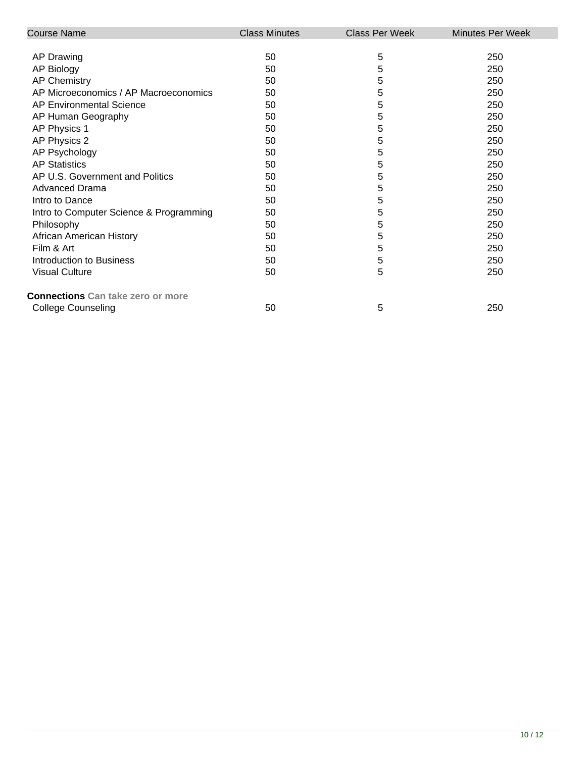| <b>Course Name</b>                       | <b>Class Minutes</b> | <b>Class Per Week</b> | <b>Minutes Per Week</b> |
|------------------------------------------|----------------------|-----------------------|-------------------------|
|                                          |                      |                       |                         |
| AP Drawing                               | 50                   | 5                     | 250                     |
| <b>AP Biology</b>                        | 50                   | 5                     | 250                     |
| <b>AP Chemistry</b>                      | 50                   | 5                     | 250                     |
| AP Microeconomics / AP Macroeconomics    | 50                   | 5                     | 250                     |
| <b>AP Environmental Science</b>          | 50                   | 5                     | 250                     |
| AP Human Geography                       | 50                   | 5                     | 250                     |
| AP Physics 1                             | 50                   | 5                     | 250                     |
| AP Physics 2                             | 50                   | 5                     | 250                     |
| AP Psychology                            | 50                   | 5                     | 250                     |
| <b>AP Statistics</b>                     | 50                   | 5                     | 250                     |
| AP U.S. Government and Politics          | 50                   | 5                     | 250                     |
| <b>Advanced Drama</b>                    | 50                   | 5                     | 250                     |
| Intro to Dance                           | 50                   | 5                     | 250                     |
| Intro to Computer Science & Programming  | 50                   | 5                     | 250                     |
| Philosophy                               | 50                   | 5                     | 250                     |
| African American History                 | 50                   | 5                     | 250                     |
| Film & Art                               | 50                   | 5                     | 250                     |
| Introduction to Business                 | 50                   | 5                     | 250                     |
| <b>Visual Culture</b>                    | 50                   | 5                     | 250                     |
| <b>Connections</b> Can take zero or more |                      |                       |                         |
| <b>College Counseling</b>                | 50                   | 5                     | 250                     |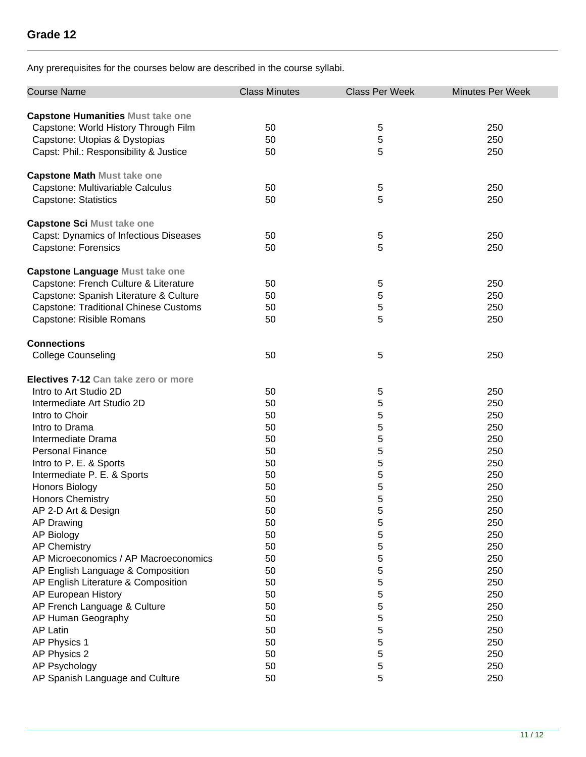| <b>Course Name</b>                       | <b>Class Minutes</b> | <b>Class Per Week</b> | <b>Minutes Per Week</b> |
|------------------------------------------|----------------------|-----------------------|-------------------------|
| <b>Capstone Humanities Must take one</b> |                      |                       |                         |
| Capstone: World History Through Film     | 50                   | 5                     | 250                     |
| Capstone: Utopias & Dystopias            | 50                   | 5                     | 250                     |
| Capst: Phil.: Responsibility & Justice   | 50                   | 5                     | 250                     |
|                                          |                      |                       |                         |
| <b>Capstone Math Must take one</b>       |                      |                       |                         |
| Capstone: Multivariable Calculus         | 50                   | 5                     | 250                     |
| <b>Capstone: Statistics</b>              | 50                   | 5                     | 250                     |
| <b>Capstone Sci Must take one</b>        |                      |                       |                         |
| Capst: Dynamics of Infectious Diseases   | 50                   | 5                     | 250                     |
| <b>Capstone: Forensics</b>               | 50                   | 5                     | 250                     |
|                                          |                      |                       |                         |
| <b>Capstone Language Must take one</b>   |                      |                       |                         |
| Capstone: French Culture & Literature    | 50                   | 5                     | 250                     |
| Capstone: Spanish Literature & Culture   | 50                   | 5                     | 250                     |
| Capstone: Traditional Chinese Customs    | 50                   | 5                     | 250                     |
| Capstone: Risible Romans                 | 50                   | 5                     | 250                     |
| <b>Connections</b>                       |                      |                       |                         |
| <b>College Counseling</b>                | 50                   | 5                     | 250                     |
|                                          |                      |                       |                         |
| Electives 7-12 Can take zero or more     |                      |                       |                         |
| Intro to Art Studio 2D                   | 50                   | 5                     | 250                     |
| Intermediate Art Studio 2D               | 50                   | 5                     | 250                     |
| Intro to Choir                           | 50                   | 5                     | 250                     |
| Intro to Drama                           | 50                   | 5                     | 250                     |
| Intermediate Drama                       | 50                   | 5                     | 250                     |
| <b>Personal Finance</b>                  | 50                   | 5                     | 250                     |
| Intro to P. E. & Sports                  | 50                   | 5                     | 250                     |
| Intermediate P. E. & Sports              | 50                   | 5                     | 250                     |
| Honors Biology                           | 50                   | 5                     | 250                     |
| <b>Honors Chemistry</b>                  | 50                   | 5                     | 250                     |
| AP 2-D Art & Design                      | 50                   | 5                     | 250                     |
| <b>AP Drawing</b>                        | 50                   | 5                     | 250                     |
| AP Biology                               | 50                   | 5                     | 250                     |
| <b>AP Chemistry</b>                      | 50                   | 5                     | 250                     |
| AP Microeconomics / AP Macroeconomics    | 50                   | 5                     | 250                     |
| AP English Language & Composition        | 50                   | 5                     | 250                     |
| AP English Literature & Composition      | 50                   | 5                     | 250                     |
| AP European History                      | 50                   | 5                     | 250                     |
| AP French Language & Culture             | 50                   | 5                     | 250                     |
| AP Human Geography                       | 50                   | 5                     | 250                     |
| <b>AP Latin</b>                          | 50                   | 5                     | 250                     |
| AP Physics 1                             | 50                   | 5                     | 250                     |
| AP Physics 2                             | 50                   | 5                     | 250                     |
| AP Psychology                            | 50                   | 5                     | 250                     |
| AP Spanish Language and Culture          | 50                   | 5                     | 250                     |